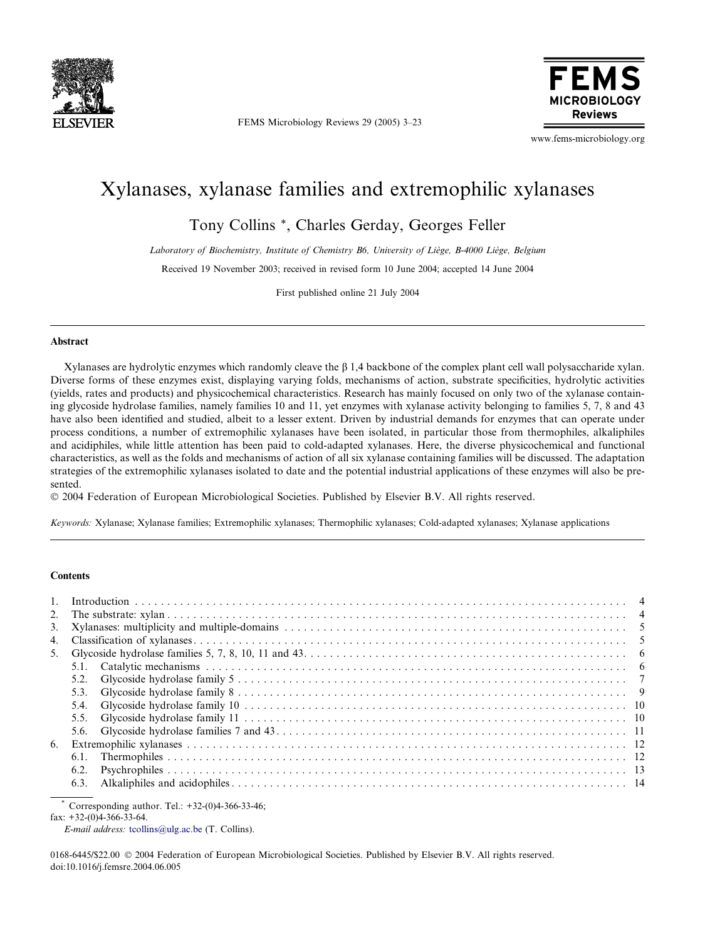

FEMS Microbiology Reviews 29 (2005) 3–23



www.fems-microbiology.org

# Xylanases, xylanase families and extremophilic xylanases

Tony Collins \*, Charles Gerday, Georges Feller

Laboratory of Biochemistry, Institute of Chemistry B6, University of Liège, B-4000 Liège, Belgium

Received 19 November 2003; received in revised form 10 June 2004; accepted 14 June 2004

First published online 21 July 2004

# Abstract

Xylanases are hydrolytic enzymes which randomly cleave the  $\beta$  1,4 backbone of the complex plant cell wall polysaccharide xylan. Diverse forms of these enzymes exist, displaying varying folds, mechanisms of action, substrate specificities, hydrolytic activities (yields, rates and products) and physicochemical characteristics. Research has mainly focused on only two of the xylanase containing glycoside hydrolase families, namely families 10 and 11, yet enzymes with xylanase activity belonging to families 5, 7, 8 and 43 have also been identified and studied, albeit to a lesser extent. Driven by industrial demands for enzymes that can operate under process conditions, a number of extremophilic xylanases have been isolated, in particular those from thermophiles, alkaliphiles and acidiphiles, while little attention has been paid to cold-adapted xylanases. Here, the diverse physicochemical and functional characteristics, as well as the folds and mechanisms of action of all six xylanase containing families will be discussed. The adaptation strategies of the extremophilic xylanases isolated to date and the potential industrial applications of these enzymes will also be presented.

2004 Federation of European Microbiological Societies. Published by Elsevier B.V. All rights reserved.

Keywords: Xylanase; Xylanase families; Extremophilic xylanases; Thermophilic xylanases; Cold-adapted xylanases; Xylanase applications

## **Contents**

| 5.3  |  |
|------|--|
|      |  |
|      |  |
|      |  |
|      |  |
|      |  |
|      |  |
| 6.3. |  |

Corresponding author. Tel.:  $+32-(0)4-366-33-46$ ;

fax: +32-(0)4-366-33-64.

E-mail address: [tcollins@ulg.ac.be](mailto:tcollins@ulg.ac.be ) (T. Collins).

0168-6445/\$22.00 2004 Federation of European Microbiological Societies. Published by Elsevier B.V. All rights reserved. doi:10.1016/j.femsre.2004.06.005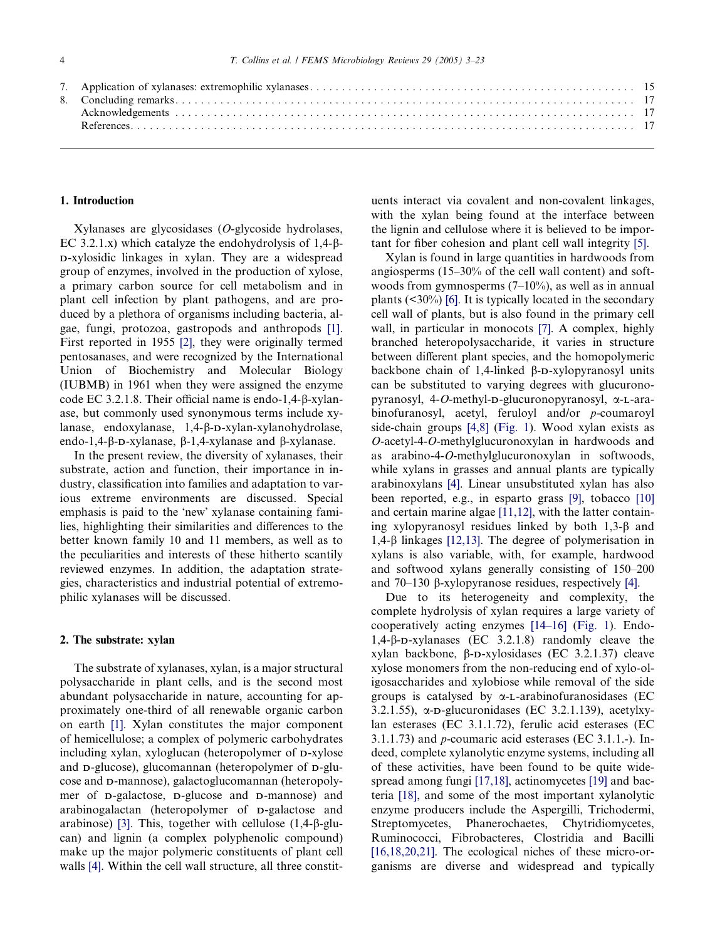#### 1. Introduction

Xylanases are glycosidases (O-glycoside hydrolases, EC 3.2.1.x) which catalyze the endohydrolysis of  $1,4-\beta$ -D-xylosidic linkages in xylan. They are a widespread group of enzymes, involved in the production of xylose, a primary carbon source for cell metabolism and in plant cell infection by plant pathogens, and are produced by a plethora of organisms including bacteria, algae, fungi, protozoa, gastropods and anthropods [\[1\]](#page-14-0). First reported in 1955 [\[2\]](#page-14-0), they were originally termed pentosanases, and were recognized by the International Union of Biochemistry and Molecular Biology (IUBMB) in 1961 when they were assigned the enzyme code EC 3.2.1.8. Their official name is endo-1,4-b-xylanase, but commonly used synonymous terms include xylanase, endoxylanase, 1,4-b-D-xylan-xylanohydrolase, endo-1,4- $\beta$ -D-xylanase,  $\beta$ -1,4-xylanase and  $\beta$ -xylanase.

In the present review, the diversity of xylanases, their substrate, action and function, their importance in industry, classification into families and adaptation to various extreme environments are discussed. Special emphasis is paid to the 'new' xylanase containing families, highlighting their similarities and differences to the better known family 10 and 11 members, as well as to the peculiarities and interests of these hitherto scantily reviewed enzymes. In addition, the adaptation strategies, characteristics and industrial potential of extremophilic xylanases will be discussed.

# 2. The substrate: xylan

The substrate of xylanases, xylan, is a major structural polysaccharide in plant cells, and is the second most abundant polysaccharide in nature, accounting for approximately one-third of all renewable organic carbon on earth [\[1\]](#page-14-0). Xylan constitutes the major component of hemicellulose; a complex of polymeric carbohydrates including xylan, xyloglucan (heteropolymer of D-xylose and D-glucose), glucomannan (heteropolymer of D-glucose and D-mannose), galactoglucomannan (heteropolymer of D-galactose, D-glucose and D-mannose) and arabinogalactan (heteropolymer of D-galactose and arabinose) [\[3\].](#page-14-0) This, together with cellulose (1,4-b-glucan) and lignin (a complex polyphenolic compound) make up the major polymeric constituents of plant cell walls [\[4\]](#page-14-0). Within the cell wall structure, all three constituents interact via covalent and non-covalent linkages, with the xylan being found at the interface between the lignin and cellulose where it is believed to be important for fiber cohesion and plant cell wall integrity [\[5\].](#page-14-0)

Xylan is found in large quantities in hardwoods from angiosperms (15–30% of the cell wall content) and softwoods from gymnosperms (7–10%), as well as in annual plants  $(\leq 30\%)$  [\[6\].](#page-14-0) It is typically located in the secondary cell wall of plants, but is also found in the primary cell wall, in particular in monocots [\[7\]](#page-14-0). A complex, highly branched heteropolysaccharide, it varies in structure between different plant species, and the homopolymeric backbone chain of 1,4-linked  $\beta$ -D-xylopyranosyl units can be substituted to varying degrees with glucuronopyranosyl, 4-O-methyl-D-glucuronopyranosyl, a-L-arabinofuranosyl, acetyl, feruloyl and/or p-coumaroyl side-chain groups [\[4,8\]](#page-14-0) ([Fig. 1](#page-2-0)). Wood xylan exists as O-acetyl-4-O-methylglucuronoxylan in hardwoods and as arabino-4-O-methylglucuronoxylan in softwoods, while xylans in grasses and annual plants are typically arabinoxylans [\[4\]](#page-14-0). Linear unsubstituted xylan has also been reported, e.g., in esparto grass [\[9\]](#page-14-0), tobacco [\[10\]](#page-14-0) and certain marine algae [\[11,12\]](#page-14-0), with the latter containing xylopyranosyl residues linked by both  $1,3-\beta$  and 1,4-b linkages [\[12,13\].](#page-14-0) The degree of polymerisation in xylans is also variable, with, for example, hardwood and softwood xylans generally consisting of 150–200 and  $70-130$   $\beta$ -xylopyranose residues, respectively [\[4\]](#page-14-0).

Due to its heterogeneity and complexity, the complete hydrolysis of xylan requires a large variety of cooperatively acting enzymes [\[14–16\]](#page-14-0) [\(Fig. 1\)](#page-2-0). Endo-1,4-b-D-xylanases (EC 3.2.1.8) randomly cleave the xylan backbone,  $\beta$ -D-xylosidases (EC 3.2.1.37) cleave xylose monomers from the non-reducing end of xylo-oligosaccharides and xylobiose while removal of the side groups is catalysed by  $\alpha$ -L-arabinofuranosidases (EC 3.2.1.55),  $\alpha$ -D-glucuronidases (EC 3.2.1.139), acetylxylan esterases (EC 3.1.1.72), ferulic acid esterases (EC 3.1.1.73) and p-coumaric acid esterases (EC 3.1.1.-). Indeed, complete xylanolytic enzyme systems, including all of these activities, have been found to be quite wide-spread among fungi [\[17,18\]](#page-14-0), actinomycetes [\[19\]](#page-14-0) and bacteria [\[18\]](#page-14-0), and some of the most important xylanolytic enzyme producers include the Aspergilli, Trichodermi, Streptomycetes, Phanerochaetes, Chytridiomycetes, Ruminococci, Fibrobacteres, Clostridia and Bacilli [\[16,18,20,21\]](#page-14-0). The ecological niches of these micro-organisms are diverse and widespread and typically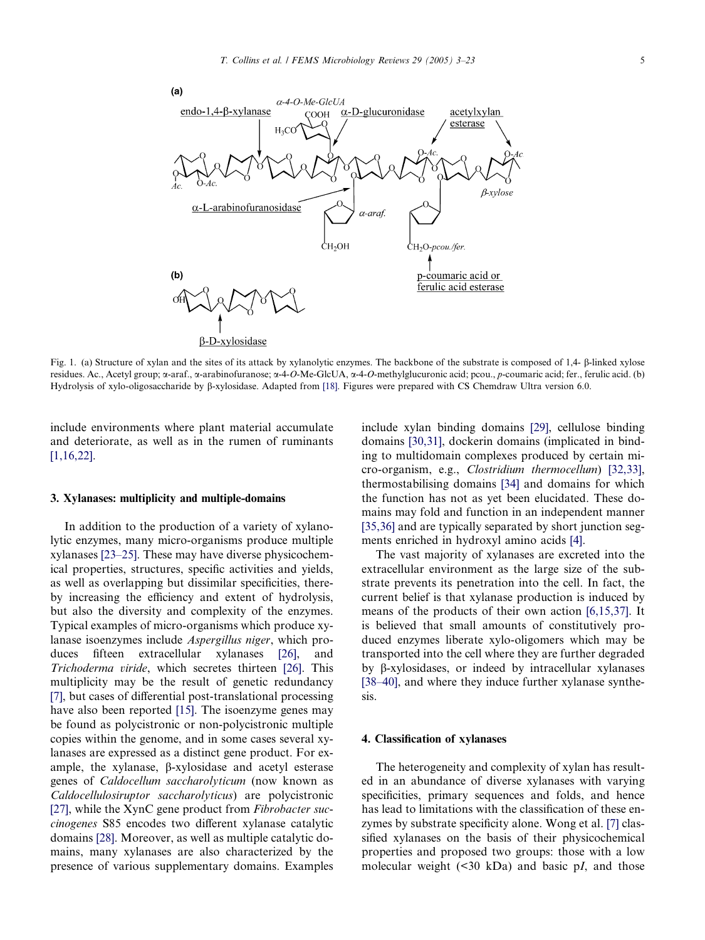<span id="page-2-0"></span>

Fig. 1. (a) Structure of xylan and the sites of its attack by xylanolytic enzymes. The backbone of the substrate is composed of 1,4-  $\beta$ -linked xylose residues. Ac., Acetyl group; α-araf., α-arabinofuranose; α-4-O-Me-GlcUA, α-4-O-methylglucuronic acid; pcou., p-coumaric acid; fer., ferulic acid. (b) Hydrolysis of xylo-oligosaccharide by  $\beta$ -xylosidase. Adapted from [\[18\].](#page-14-0) Figures were prepared with CS Chemdraw Ultra version 6.0.

include environments where plant material accumulate and deteriorate, as well as in the rumen of ruminants [\[1,16,22\]](#page-14-0).

# 3. Xylanases: multiplicity and multiple-domains

In addition to the production of a variety of xylanolytic enzymes, many micro-organisms produce multiple xylanases [\[23–25\].](#page-14-0) These may have diverse physicochemical properties, structures, specific activities and yields, as well as overlapping but dissimilar specificities, thereby increasing the efficiency and extent of hydrolysis, but also the diversity and complexity of the enzymes. Typical examples of micro-organisms which produce xylanase isoenzymes include Aspergillus niger, which produces fifteen extracellular xylanases [\[26\],](#page-14-0) and Trichoderma viride, which secretes thirteen [\[26\].](#page-14-0) This multiplicity may be the result of genetic redundancy [\[7\],](#page-14-0) but cases of differential post-translational processing have also been reported [\[15\]](#page-14-0). The isoenzyme genes may be found as polycistronic or non-polycistronic multiple copies within the genome, and in some cases several xylanases are expressed as a distinct gene product. For example, the xylanase, b-xylosidase and acetyl esterase genes of Caldocellum saccharolyticum (now known as Caldocellulosiruptor saccharolyticus) are polycistronic [\[27\],](#page-15-0) while the XynC gene product from Fibrobacter succinogenes S85 encodes two different xylanase catalytic domains [\[28\].](#page-15-0) Moreover, as well as multiple catalytic domains, many xylanases are also characterized by the presence of various supplementary domains. Examples

include xylan binding domains [\[29\]](#page-15-0), cellulose binding domains [\[30,31\]](#page-15-0), dockerin domains (implicated in binding to multidomain complexes produced by certain micro-organism, e.g., Clostridium thermocellum) [\[32,33\],](#page-15-0) thermostabilising domains [\[34\]](#page-15-0) and domains for which the function has not as yet been elucidated. These domains may fold and function in an independent manner [\[35,36\]](#page-15-0) and are typically separated by short junction segments enriched in hydroxyl amino acids [\[4\].](#page-14-0)

The vast majority of xylanases are excreted into the extracellular environment as the large size of the substrate prevents its penetration into the cell. In fact, the current belief is that xylanase production is induced by means of the products of their own action [\[6,15,37\].](#page-14-0) It is believed that small amounts of constitutively produced enzymes liberate xylo-oligomers which may be transported into the cell where they are further degraded by b-xylosidases, or indeed by intracellular xylanases [\[38–40\],](#page-15-0) and where they induce further xylanase synthesis.

#### 4. Classification of xylanases

The heterogeneity and complexity of xylan has resulted in an abundance of diverse xylanases with varying specificities, primary sequences and folds, and hence has lead to limitations with the classification of these enzymes by substrate specificity alone. Wong et al. [\[7\]](#page-14-0) classified xylanases on the basis of their physicochemical properties and proposed two groups: those with a low molecular weight  $(\leq 30 \text{ kDa})$  and basic pI, and those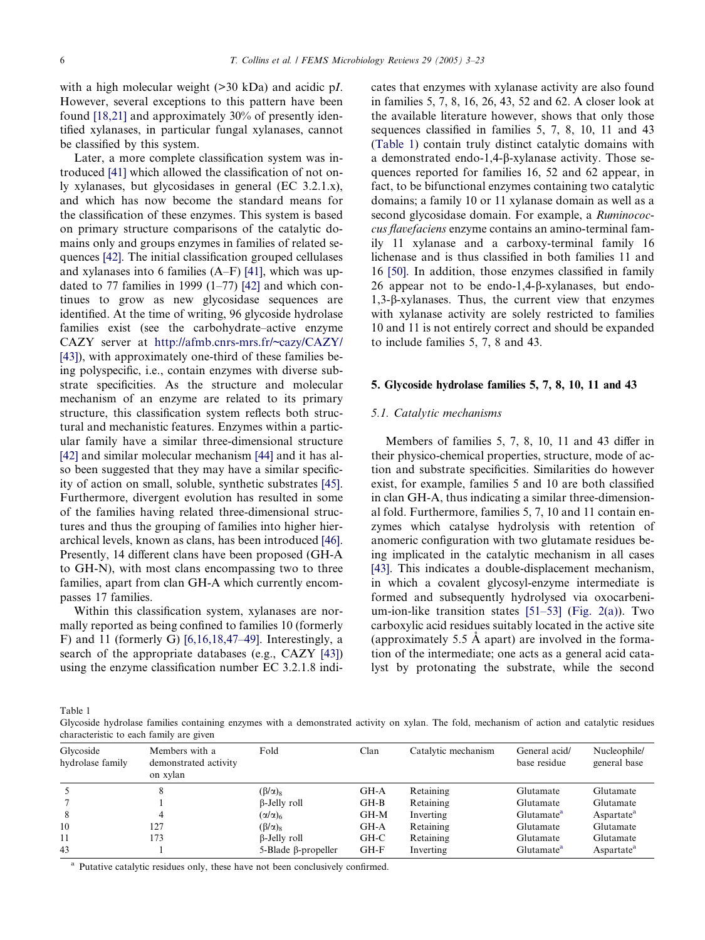with a high molecular weight (>30 kDa) and acidic pI. However, several exceptions to this pattern have been found [\[18,21\]](#page-14-0) and approximately 30% of presently identified xylanases, in particular fungal xylanases, cannot be classified by this system.

Later, a more complete classification system was introduced [\[41\]](#page-15-0) which allowed the classification of not only xylanases, but glycosidases in general (EC 3.2.1.x), and which has now become the standard means for the classification of these enzymes. This system is based on primary structure comparisons of the catalytic domains only and groups enzymes in families of related sequences [\[42\]](#page-15-0). The initial classification grouped cellulases and xylanases into 6 families (A–F) [\[41\]](#page-15-0), which was updated to 77 families in 1999  $(1-77)$  [\[42\]](#page-15-0) and which continues to grow as new glycosidase sequences are identified. At the time of writing, 96 glycoside hydrolase families exist (see the carbohydrate–active enzyme CAZY server at <http://afmb.cnrs-mrs.fr/~cazy/CAZY/> [\[43\]](#page-15-0)), with approximately one-third of these families being polyspecific, i.e., contain enzymes with diverse substrate specificities. As the structure and molecular mechanism of an enzyme are related to its primary structure, this classification system reflects both structural and mechanistic features. Enzymes within a particular family have a similar three-dimensional structure [\[42\]](#page-15-0) and similar molecular mechanism [\[44\]](#page-15-0) and it has also been suggested that they may have a similar specificity of action on small, soluble, synthetic substrates [\[45\]](#page-15-0). Furthermore, divergent evolution has resulted in some of the families having related three-dimensional structures and thus the grouping of families into higher hierarchical levels, known as clans, has been introduced [\[46\]](#page-15-0). Presently, 14 different clans have been proposed (GH-A to GH-N), with most clans encompassing two to three families, apart from clan GH-A which currently encompasses 17 families.

Within this classification system, xylanases are normally reported as being confined to families 10 (formerly F) and 11 (formerly G) [\[6,16,18,47–49\]](#page-14-0). Interestingly, a search of the appropriate databases (e.g., CAZY [\[43\]](#page-15-0)) using the enzyme classification number EC 3.2.1.8 indicates that enzymes with xylanase activity are also found in families 5, 7, 8, 16, 26, 43, 52 and 62. A closer look at the available literature however, shows that only those sequences classified in families 5, 7, 8, 10, 11 and 43 (Table 1) contain truly distinct catalytic domains with a demonstrated endo-1,4-b-xylanase activity. Those sequences reported for families 16, 52 and 62 appear, in fact, to be bifunctional enzymes containing two catalytic domains; a family 10 or 11 xylanase domain as well as a second glycosidase domain. For example, a Ruminococcus flavefaciens enzyme contains an amino-terminal family 11 xylanase and a carboxy-terminal family 16 lichenase and is thus classified in both families 11 and 16 [\[50\].](#page-15-0) In addition, those enzymes classified in family 26 appear not to be endo-1,4- $\beta$ -xylanases, but endo-1,3-b-xylanases. Thus, the current view that enzymes with xylanase activity are solely restricted to families 10 and 11 is not entirely correct and should be expanded to include families 5, 7, 8 and 43.

#### 5. Glycoside hydrolase families 5, 7, 8, 10, 11 and 43

#### 5.1. Catalytic mechanisms

Members of families 5, 7, 8, 10, 11 and 43 differ in their physico-chemical properties, structure, mode of action and substrate specificities. Similarities do however exist, for example, families 5 and 10 are both classified in clan GH-A, thus indicating a similar three-dimensional fold. Furthermore, families 5, 7, 10 and 11 contain enzymes which catalyse hydrolysis with retention of anomeric configuration with two glutamate residues being implicated in the catalytic mechanism in all cases [\[43\]](#page-15-0). This indicates a double-displacement mechanism, in which a covalent glycosyl-enzyme intermediate is formed and subsequently hydrolysed via oxocarbenium-ion-like transition states [\[51–53\]](#page-15-0) ([Fig. 2\(a\)](#page-4-0)). Two carboxylic acid residues suitably located in the active site (approximately 5.5  $\dot{A}$  apart) are involved in the formation of the intermediate; one acts as a general acid catalyst by protonating the substrate, while the second

Table 1

Glycoside hydrolase families containing enzymes with a demonstrated activity on xylan. The fold, mechanism of action and catalytic residues characteristic to each family are given

| Glycoside<br>hydrolase family | Members with a<br>demonstrated activity<br>on xylan | Fold                         | Clan   | Catalytic mechanism | General acid/<br>base residue | Nucleophile/<br>general base |
|-------------------------------|-----------------------------------------------------|------------------------------|--------|---------------------|-------------------------------|------------------------------|
|                               | 8                                                   | $(\beta/\alpha)_8$           | GH-A   | Retaining           | Glutamate                     | Glutamate                    |
|                               |                                                     | $\beta$ -Jelly roll          | GH-B   | Retaining           | Glutamate                     | Glutamate                    |
| 8                             | 4                                                   | $(\alpha/\alpha)_6$          | GH-M   | Inverting           | Glutamate <sup>a</sup>        | Aspartate <sup>a</sup>       |
| 10                            | 127                                                 | $(\beta/\alpha)_8$           | GH-A   | Retaining           | Glutamate                     | Glutamate                    |
| 11                            | 173                                                 | β-Jelly roll                 | GH-C   | Retaining           | Glutamate                     | Glutamate                    |
| 43                            |                                                     | $5 - Blade \beta$ -propeller | $GH-F$ | Inverting           | Glutamate <sup>a</sup>        | Aspartate <sup>a</sup>       |

<sup>a</sup> Putative catalytic residues only, these have not been conclusively confirmed.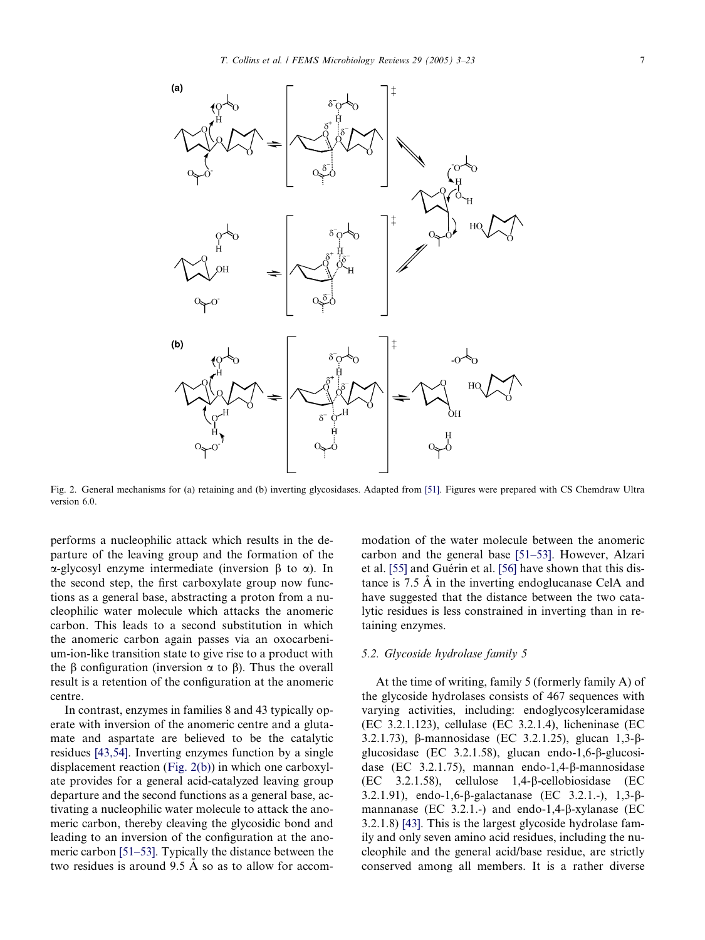<span id="page-4-0"></span>

Fig. 2. General mechanisms for (a) retaining and (b) inverting glycosidases. Adapted from [\[51\]](#page-15-0). Figures were prepared with CS Chemdraw Ultra version 6.0.

performs a nucleophilic attack which results in the departure of the leaving group and the formation of the  $\alpha$ -glycosyl enzyme intermediate (inversion  $\beta$  to  $\alpha$ ). In the second step, the first carboxylate group now functions as a general base, abstracting a proton from a nucleophilic water molecule which attacks the anomeric carbon. This leads to a second substitution in which the anomeric carbon again passes via an oxocarbenium-ion-like transition state to give rise to a product with the  $\beta$  configuration (inversion  $\alpha$  to  $\beta$ ). Thus the overall result is a retention of the configuration at the anomeric centre.

In contrast, enzymes in families 8 and 43 typically operate with inversion of the anomeric centre and a glutamate and aspartate are believed to be the catalytic residues [\[43,54\]](#page-15-0). Inverting enzymes function by a single displacement reaction (Fig. 2(b)) in which one carboxylate provides for a general acid-catalyzed leaving group departure and the second functions as a general base, activating a nucleophilic water molecule to attack the anomeric carbon, thereby cleaving the glycosidic bond and leading to an inversion of the configuration at the anomeric carbon [\[51–53\]](#page-15-0). Typically the distance between the two residues is around  $9.5 \text{ Å}$  so as to allow for accommodation of the water molecule between the anomeric carbon and the general base [\[51–53\].](#page-15-0) However, Alzari et al. [\[55\]](#page-15-0) and Guérin et al. [\[56\]](#page-15-0) have shown that this distance is  $7.5 \text{ Å}$  in the inverting endoglucanase CelA and have suggested that the distance between the two catalytic residues is less constrained in inverting than in retaining enzymes.

# 5.2. Glycoside hydrolase family 5

At the time of writing, family 5 (formerly family A) of the glycoside hydrolases consists of 467 sequences with varying activities, including: endoglycosylceramidase (EC 3.2.1.123), cellulase (EC 3.2.1.4), licheninase (EC 3.2.1.73), b-mannosidase (EC 3.2.1.25), glucan 1,3-bglucosidase (EC 3.2.1.58), glucan endo-1,6- $\beta$ -glucosidase (EC 3.2.1.75), mannan endo-1,4-β-mannosidase (EC 3.2.1.58), cellulose 1,4-b-cellobiosidase (EC 3.2.1.91), endo-1,6-b-galactanase (EC 3.2.1.-), 1,3-bmannanase (EC 3.2.1.-) and endo-1,4- $\beta$ -xylanase (EC 3.2.1.8) [\[43\]](#page-15-0). This is the largest glycoside hydrolase family and only seven amino acid residues, including the nucleophile and the general acid/base residue, are strictly conserved among all members. It is a rather diverse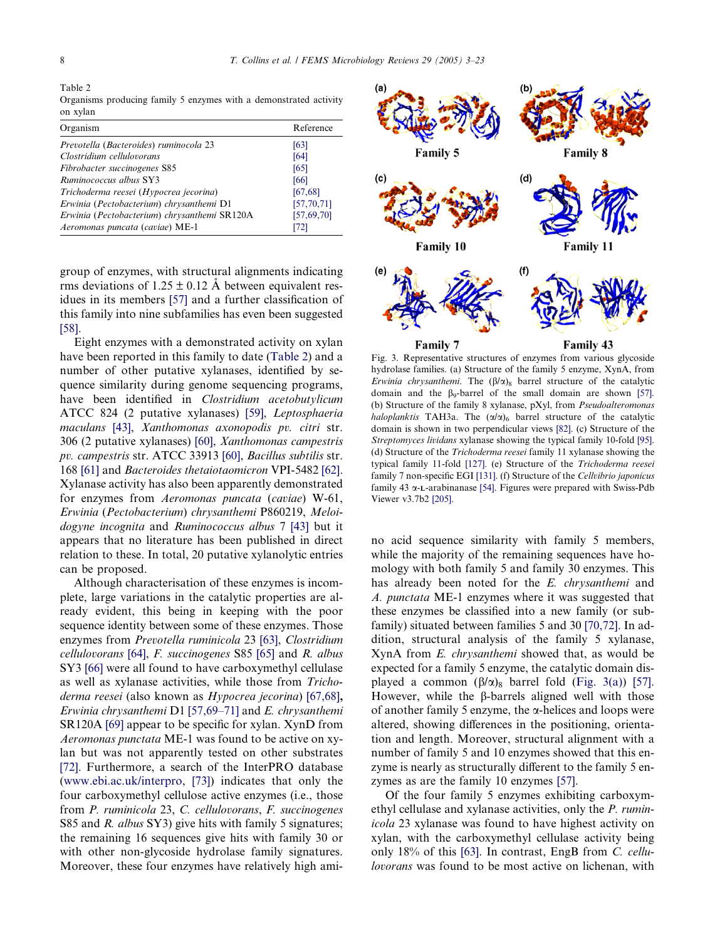<span id="page-5-0"></span>Table 2

Organisms producing family 5 enzymes with a demonstrated activity on xylan

| Organism                                     | Reference    |
|----------------------------------------------|--------------|
| Prevotella (Bacteroides) ruminocola 23       | [63]         |
| Clostridium cellulovorans                    | [64]         |
| Fibrobacter succinogenes S85                 | [65]         |
| Ruminococcus albus SY3                       | [66]         |
| Trichoderma reesei (Hypocrea jecorina)       | [67, 68]     |
| Erwinia (Pectobacterium) chrysanthemi D1     | [57, 70, 71] |
| Erwinia (Pectobacterium) chrysanthemi SR120A | [57,69,70]   |
| Aeromonas puncata (caviae) ME-1              | [72]         |

group of enzymes, with structural alignments indicating rms deviations of  $1.25 \pm 0.12$  Å between equivalent residues in its members [\[57\]](#page-15-0) and a further classification of this family into nine subfamilies has even been suggested [\[58\]](#page-15-0).

Eight enzymes with a demonstrated activity on xylan have been reported in this family to date (Table 2) and a number of other putative xylanases, identified by sequence similarity during genome sequencing programs, have been identified in Clostridium acetobutylicum ATCC 824 (2 putative xylanases) [\[59\],](#page-15-0) Leptosphaeria maculans [\[43\],](#page-15-0) Xanthomonas axonopodis pv. citri str. 306 (2 putative xylanases) [\[60\],](#page-15-0) Xanthomonas campestris pv. campestris str. ATCC 33913 [\[60\]](#page-15-0), Bacillus subtilis str. 168 [\[61\]](#page-16-0) and Bacteroides thetaiotaomicron VPI-5482 [\[62\]](#page-16-0). Xylanase activity has also been apparently demonstrated for enzymes from Aeromonas puncata (caviae) W-61, Erwinia (Pectobacterium) chrysanthemi P860219, Meloidogyne incognita and Ruminococcus albus 7 [\[43\]](#page-15-0) but it appears that no literature has been published in direct relation to these. In total, 20 putative xylanolytic entries can be proposed.

Although characterisation of these enzymes is incomplete, large variations in the catalytic properties are already evident, this being in keeping with the poor sequence identity between some of these enzymes. Those enzymes from Prevotella ruminicola 23 [\[63\],](#page-16-0) Clostridium cellulovorans [\[64\]](#page-16-0), F. succinogenes S85 [\[65\]](#page-16-0) and R. albus SY3 [\[66\]](#page-16-0) were all found to have carboxymethyl cellulase as well as xylanase activities, while those from Trichoderma reesei (also known as Hypocrea jecorina) [\[67,68\]](#page-16-0), Erwinia chrysanthemi D1 [\[57,69–71\]](#page-15-0) and E. chrysanthemi SR120A [\[69\]](#page-16-0) appear to be specific for xylan. XynD from Aeromonas punctata ME-1 was found to be active on xylan but was not apparently tested on other substrates [\[72\]](#page-16-0). Furthermore, a search of the InterPRO database ([www.ebi.ac.uk/interpro,](http://www.ebi.ac.uk/interpro) [\[73\]\)](#page-16-0) indicates that only the four carboxymethyl cellulose active enzymes (i.e., those from P. ruminicola 23, C. cellulovorans, F. succinogenes S85 and *R. albus* SY3) give hits with family 5 signatures; the remaining 16 sequences give hits with family 30 or with other non-glycoside hydrolase family signatures. Moreover, these four enzymes have relatively high ami-



Fig. 3. Representative structures of enzymes from various glycoside hydrolase families. (a) Structure of the family 5 enzyme, XynA, from Erwinia chrysanthemi. The  $(\beta/\alpha)_8$  barrel structure of the catalytic domain and the  $\beta_9$ -barrel of the small domain are shown [\[57\].](#page-15-0) (b) Structure of the family 8 xylanase, pXyl, from Pseudoalteromonas haloplanktis TAH3a. The  $(\alpha/\alpha)_6$  barrel structure of the catalytic domain is shown in two perpendicular views [\[82\]](#page-16-0). (c) Structure of the Streptomyces lividans xylanase showing the typical family 10-fold [\[95\].](#page-17-0) (d) Structure of the Trichoderma reesei family 11 xylanase showing the typical family 11-fold [\[127\]](#page-18-0). (e) Structure of the Trichoderma reesei family 7 non-specific EGI [\[131\].](#page-18-0) (f) Structure of the Cellvibrio japonicus family 43  $\alpha$ -L-arabinanase [\[54\]](#page-15-0). Figures were prepared with Swiss-Pdb Viewer v3.7b2 [\[205\]](#page-20-0).

no acid sequence similarity with family 5 members, while the majority of the remaining sequences have homology with both family 5 and family 30 enzymes. This has already been noted for the E. chrysanthemi and A. punctata ME-1 enzymes where it was suggested that these enzymes be classified into a new family (or subfamily) situated between families 5 and 30 [\[70,72\].](#page-16-0) In addition, structural analysis of the family 5 xylanase, XynA from E. chrysanthemi showed that, as would be expected for a family 5 enzyme, the catalytic domain displayed a common  $(\beta/\alpha)_8$  barrel fold (Fig. 3(a)) [\[57\]](#page-15-0). However, while the B-barrels aligned well with those of another family 5 enzyme, the  $\alpha$ -helices and loops were altered, showing differences in the positioning, orientation and length. Moreover, structural alignment with a number of family 5 and 10 enzymes showed that this enzyme is nearly as structurally different to the family 5 enzymes as are the family 10 enzymes [\[57\].](#page-15-0)

Of the four family 5 enzymes exhibiting carboxymethyl cellulase and xylanase activities, only the P. ruminicola 23 xylanase was found to have highest activity on xylan, with the carboxymethyl cellulase activity being only 18% of this [\[63\].](#page-16-0) In contrast, EngB from C. cellulovorans was found to be most active on lichenan, with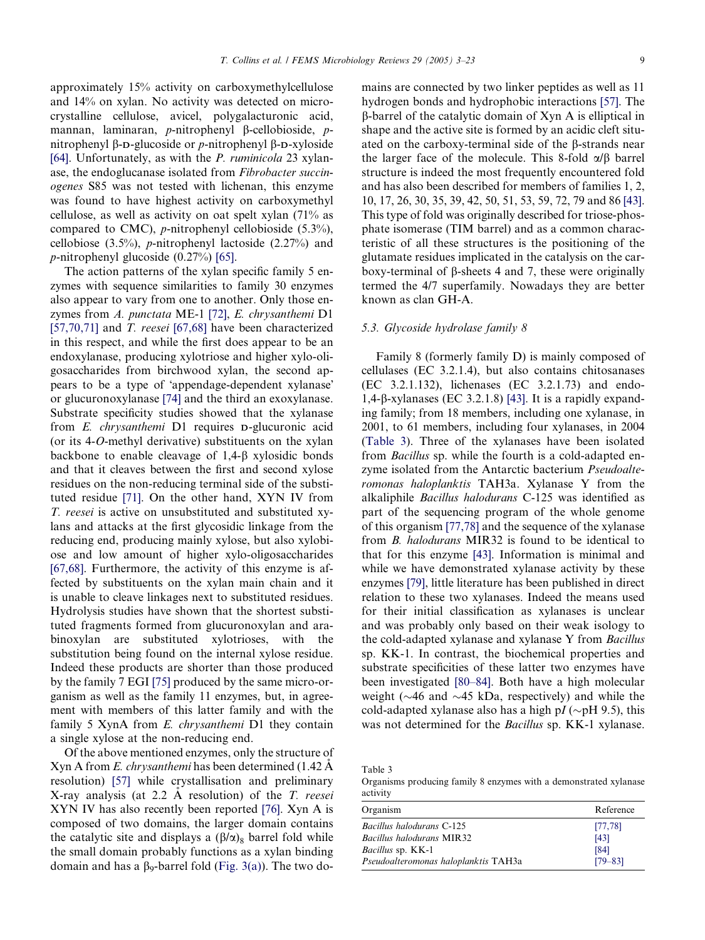approximately 15% activity on carboxymethylcellulose and 14% on xylan. No activity was detected on microcrystalline cellulose, avicel, polygalacturonic acid, mannan, laminaran, p-nitrophenyl  $\beta$ -cellobioside, pnitrophenyl  $\beta$ -D-glucoside or *p*-nitrophenyl  $\beta$ -D-xyloside [\[64\].](#page-16-0) Unfortunately, as with the *P. ruminicola* 23 xylanase, the endoglucanase isolated from Fibrobacter succinogenes S85 was not tested with lichenan, this enzyme was found to have highest activity on carboxymethyl cellulose, as well as activity on oat spelt xylan (71% as compared to CMC), *p*-nitrophenyl cellobioside  $(5.3\%)$ , cellobiose (3.5%), p-nitrophenyl lactoside (2.27%) and p-nitrophenyl glucoside (0.27%) [\[65\].](#page-16-0)

The action patterns of the xylan specific family 5 enzymes with sequence similarities to family 30 enzymes also appear to vary from one to another. Only those enzymes from A. punctata ME-1 [\[72\],](#page-16-0) E. chrysanthemi D1 [\[57,70,71\]](#page-15-0) and T. reesei [\[67,68\]](#page-16-0) have been characterized in this respect, and while the first does appear to be an endoxylanase, producing xylotriose and higher xylo-oligosaccharides from birchwood xylan, the second appears to be a type of 'appendage-dependent xylanase' or glucuronoxylanase [\[74\]](#page-16-0) and the third an exoxylanase. Substrate specificity studies showed that the xylanase from E. chrysanthemi D1 requires D-glucuronic acid (or its 4-O-methyl derivative) substituents on the xylan backbone to enable cleavage of  $1,4-\beta$  xylosidic bonds and that it cleaves between the first and second xylose residues on the non-reducing terminal side of the substituted residue [\[71\].](#page-16-0) On the other hand, XYN IV from T. reesei is active on unsubstituted and substituted xylans and attacks at the first glycosidic linkage from the reducing end, producing mainly xylose, but also xylobiose and low amount of higher xylo-oligosaccharides [\[67,68\].](#page-16-0) Furthermore, the activity of this enzyme is affected by substituents on the xylan main chain and it is unable to cleave linkages next to substituted residues. Hydrolysis studies have shown that the shortest substituted fragments formed from glucuronoxylan and arabinoxylan are substituted xylotrioses, with the substitution being found on the internal xylose residue. Indeed these products are shorter than those produced by the family 7 EGI [\[75\]](#page-16-0) produced by the same micro-organism as well as the family 11 enzymes, but, in agreement with members of this latter family and with the family 5 XynA from E. chrysanthemi D1 they contain a single xylose at the non-reducing end.

Of the above mentioned enzymes, only the structure of Xyn A from E. chrysanthemi has been determined  $(1.42 \text{ Å})$ resolution) [\[57\]](#page-15-0) while crystallisation and preliminary X-ray analysis (at  $2.2$  A resolution) of the T. reesei XYN IV has also recently been reported [\[76\].](#page-16-0) Xyn A is composed of two domains, the larger domain contains the catalytic site and displays a  $(\beta/\alpha)_8$  barrel fold while the small domain probably functions as a xylan binding domain and has a  $\beta_9$ -barrel fold [\(Fig. 3\(a\)\)](#page-5-0). The two domains are connected by two linker peptides as well as 11 hydrogen bonds and hydrophobic interactions [\[57\]](#page-15-0). The b-barrel of the catalytic domain of Xyn A is elliptical in shape and the active site is formed by an acidic cleft situated on the carboxy-terminal side of the  $\beta$ -strands near the larger face of the molecule. This 8-fold  $\alpha/\beta$  barrel structure is indeed the most frequently encountered fold and has also been described for members of families 1, 2, 10, 17, 26, 30, 35, 39, 42, 50, 51, 53, 59, 72, 79 and 86 [\[43\].](#page-15-0) This type of fold was originally described for triose-phosphate isomerase (TIM barrel) and as a common characteristic of all these structures is the positioning of the glutamate residues implicated in the catalysis on the carboxy-terminal of  $\beta$ -sheets 4 and 7, these were originally termed the 4/7 superfamily. Nowadays they are better known as clan GH-A.

#### 5.3. Glycoside hydrolase family 8

Family 8 (formerly family D) is mainly composed of cellulases (EC 3.2.1.4), but also contains chitosanases (EC 3.2.1.132), lichenases (EC 3.2.1.73) and endo-1,4-b-xylanases (EC 3.2.1.8) [\[43\].](#page-15-0) It is a rapidly expanding family; from 18 members, including one xylanase, in 2001, to 61 members, including four xylanases, in 2004 (Table 3). Three of the xylanases have been isolated from Bacillus sp. while the fourth is a cold-adapted enzyme isolated from the Antarctic bacterium Pseudoalteromonas haloplanktis TAH3a. Xylanase Y from the alkaliphile Bacillus halodurans C-125 was identified as part of the sequencing program of the whole genome of this organism [\[77,78\]](#page-16-0) and the sequence of the xylanase from B. halodurans MIR32 is found to be identical to that for this enzyme [\[43\].](#page-15-0) Information is minimal and while we have demonstrated xylanase activity by these enzymes [\[79\]](#page-16-0), little literature has been published in direct relation to these two xylanases. Indeed the means used for their initial classification as xylanases is unclear and was probably only based on their weak isology to the cold-adapted xylanase and xylanase Y from Bacillus sp. KK-1. In contrast, the biochemical properties and substrate specificities of these latter two enzymes have been investigated [\[80–84\].](#page-16-0) Both have a high molecular weight ( $\sim$ 46 and  $\sim$ 45 kDa, respectively) and while the cold-adapted xylanase also has a high pI ( $\sim$ pH 9.5), this was not determined for the Bacillus sp. KK-1 xylanase.

Table 3

Organisms producing family 8 enzymes with a demonstrated xylanase activity

| Organism                             | Reference   |
|--------------------------------------|-------------|
| Bacillus halodurans C-125            | [77, 78]    |
| <b>Bacillus halodurans MIR32</b>     | [43]        |
| Bacillus sp. KK-1                    | [84]        |
| Pseudoalteromonas haloplanktis TAH3a | $179 - 831$ |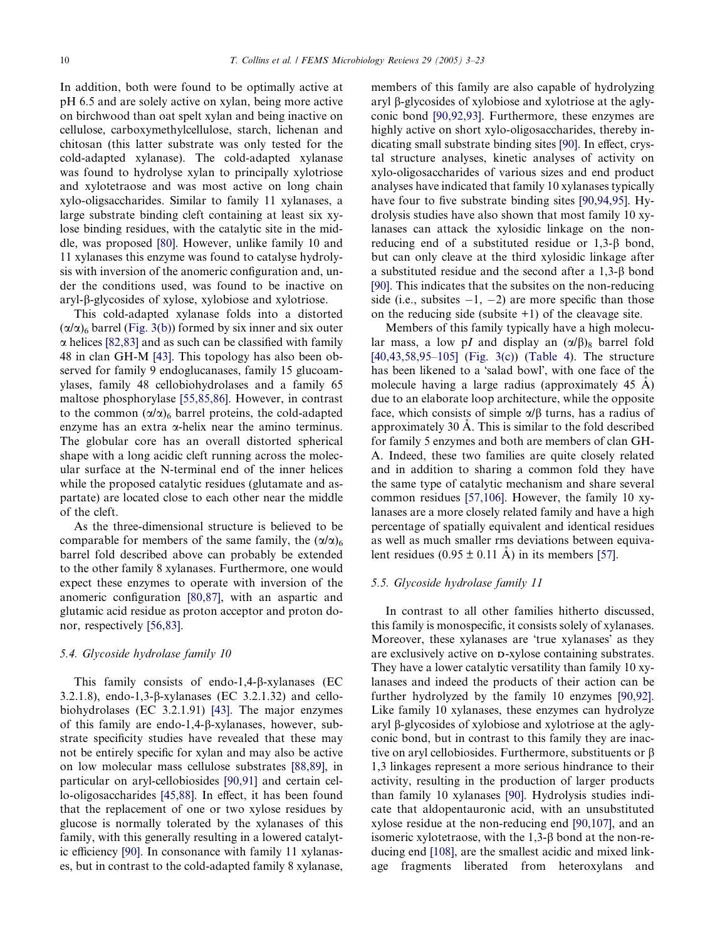In addition, both were found to be optimally active at pH 6.5 and are solely active on xylan, being more active on birchwood than oat spelt xylan and being inactive on cellulose, carboxymethylcellulose, starch, lichenan and chitosan (this latter substrate was only tested for the cold-adapted xylanase). The cold-adapted xylanase was found to hydrolyse xylan to principally xylotriose and xylotetraose and was most active on long chain xylo-oligsaccharides. Similar to family 11 xylanases, a large substrate binding cleft containing at least six xylose binding residues, with the catalytic site in the middle, was proposed [\[80\]](#page-16-0). However, unlike family 10 and 11 xylanases this enzyme was found to catalyse hydrolysis with inversion of the anomeric configuration and, under the conditions used, was found to be inactive on aryl-b-glycosides of xylose, xylobiose and xylotriose.

This cold-adapted xylanase folds into a distorted  $(\alpha/\alpha)$ <sub>6</sub> barrel [\(Fig. 3\(b\)\)](#page-5-0) formed by six inner and six outer  $\alpha$  helices [\[82,83\]](#page-16-0) and as such can be classified with family 48 in clan GH-M [\[43\].](#page-15-0) This topology has also been observed for family 9 endoglucanases, family 15 glucoamylases, family 48 cellobiohydrolases and a family 65 maltose phosphorylase [\[55,85,86\].](#page-15-0) However, in contrast to the common  $(\alpha/\alpha)_6$  barrel proteins, the cold-adapted enzyme has an extra  $\alpha$ -helix near the amino terminus. The globular core has an overall distorted spherical shape with a long acidic cleft running across the molecular surface at the N-terminal end of the inner helices while the proposed catalytic residues (glutamate and aspartate) are located close to each other near the middle of the cleft.

As the three-dimensional structure is believed to be comparable for members of the same family, the  $(\alpha/\alpha)$ <sub>6</sub> barrel fold described above can probably be extended to the other family 8 xylanases. Furthermore, one would expect these enzymes to operate with inversion of the anomeric configuration [\[80,87\]](#page-16-0), with an aspartic and glutamic acid residue as proton acceptor and proton donor, respectively [\[56,83\]](#page-15-0).

# 5.4. Glycoside hydrolase family 10

This family consists of endo-1,4- $\beta$ -xylanases (EC 3.2.1.8), endo-1,3- $\beta$ -xylanases (EC 3.2.1.32) and cellobiohydrolases (EC 3.2.1.91) [\[43\]](#page-15-0). The major enzymes of this family are endo-1,4- $\beta$ -xylanases, however, substrate specificity studies have revealed that these may not be entirely specific for xylan and may also be active on low molecular mass cellulose substrates [\[88,89\]](#page-17-0), in particular on aryl-cellobiosides [\[90,91\]](#page-17-0) and certain cello-oligosaccharides [\[45,88\].](#page-15-0) In effect, it has been found that the replacement of one or two xylose residues by glucose is normally tolerated by the xylanases of this family, with this generally resulting in a lowered catalytic efficiency [\[90\]](#page-17-0). In consonance with family 11 xylanases, but in contrast to the cold-adapted family 8 xylanase, members of this family are also capable of hydrolyzing aryl b-glycosides of xylobiose and xylotriose at the aglyconic bond [\[90,92,93\].](#page-17-0) Furthermore, these enzymes are highly active on short xylo-oligosaccharides, thereby indicating small substrate binding sites [\[90\].](#page-17-0) In effect, crystal structure analyses, kinetic analyses of activity on xylo-oligosaccharides of various sizes and end product analyses have indicated that family 10 xylanases typically have four to five substrate binding sites [\[90,94,95\].](#page-17-0) Hydrolysis studies have also shown that most family 10 xylanases can attack the xylosidic linkage on the nonreducing end of a substituted residue or  $1,3-\beta$  bond, but can only cleave at the third xylosidic linkage after a substituted residue and the second after a  $1,3-\beta$  bond [\[90\]](#page-17-0). This indicates that the subsites on the non-reducing side (i.e., subsites  $-1$ ,  $-2$ ) are more specific than those on the reducing side (subsite  $+1$ ) of the cleavage site.

Members of this family typically have a high molecular mass, a low pI and display an  $(\alpha/\beta)$ <sub>8</sub> barrel fold [\[40,43,58,95–105\]](#page-15-0) ([Fig. 3\(c\)](#page-5-0)) ([Table 4](#page-8-0)). The structure has been likened to a 'salad bowl', with one face of the molecule having a large radius (approximately  $45 \text{ Å}$ ) due to an elaborate loop architecture, while the opposite face, which consists of simple  $\alpha/\beta$  turns, has a radius of approximately  $30 \text{ Å}$ . This is similar to the fold described for family 5 enzymes and both are members of clan GH-A. Indeed, these two families are quite closely related and in addition to sharing a common fold they have the same type of catalytic mechanism and share several common residues [\[57,106\].](#page-15-0) However, the family 10 xylanases are a more closely related family and have a high percentage of spatially equivalent and identical residues as well as much smaller rms deviations between equivalent residues  $(0.95 \pm 0.11 \text{ Å})$  in its members [\[57\].](#page-15-0)

# 5.5. Glycoside hydrolase family 11

In contrast to all other families hitherto discussed, this family is monospecific, it consists solely of xylanases. Moreover, these xylanases are 'true xylanases' as they are exclusively active on D-xylose containing substrates. They have a lower catalytic versatility than family 10 xylanases and indeed the products of their action can be further hydrolyzed by the family 10 enzymes [\[90,92\]](#page-17-0). Like family 10 xylanases, these enzymes can hydrolyze aryl  $\beta$ -glycosides of xylobiose and xylotriose at the aglyconic bond, but in contrast to this family they are inactive on aryl cellobiosides. Furthermore, substituents or  $\beta$ 1,3 linkages represent a more serious hindrance to their activity, resulting in the production of larger products than family 10 xylanases [\[90\]](#page-17-0). Hydrolysis studies indicate that aldopentauronic acid, with an unsubstituted xylose residue at the non-reducing end [\[90,107\],](#page-17-0) and an isomeric xylotetraose, with the  $1,3-\beta$  bond at the non-reducing end [\[108\],](#page-17-0) are the smallest acidic and mixed linkage fragments liberated from heteroxylans and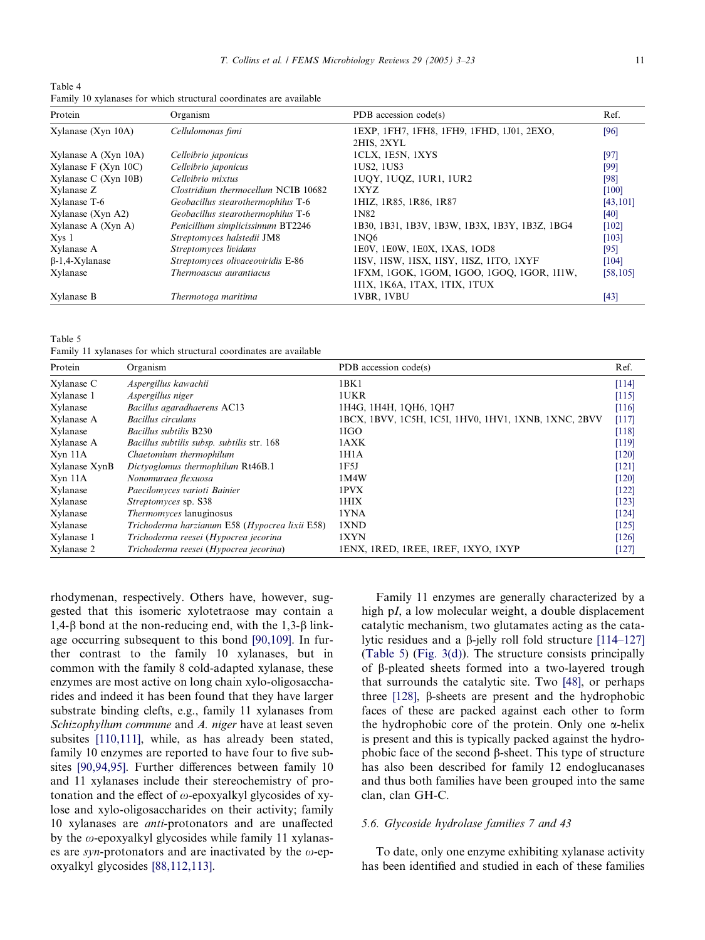<span id="page-8-0"></span>Table 4 Family 10 xylanases for which structural coordinates are available

| Protein                  | Organism                            | PDB accession code(s)                          | Ref.      |
|--------------------------|-------------------------------------|------------------------------------------------|-----------|
| Xylanase (Xyn 10A)       | Cellulomonas fimi                   | 1EXP, 1FH7, 1FH8, 1FH9, 1FHD, 1J01, 2EXO,      | [96]      |
|                          |                                     | 2HIS. 2XYL                                     |           |
| Xylanase A $(Xyn 10A)$   | Cellvibrio japonicus                | ICLX, 1E5N, 1XYS                               | [97]      |
| Xylanase $F$ (Xyn 10C)   | Cellvibrio japonicus                | 1US2, 1US3                                     | [99]      |
| Xylanase C (Xyn $10B$ )  | Cellvibrio mixtus                   | 1UQY, 1UQZ, 1UR1, 1UR2                         | [98]      |
| Xylanase Z               | Clostridium thermocellum NCIB 10682 | 1XYZ                                           | [100]     |
| Xylanase T-6             | Geobacillus stearothermophilus T-6  | 1HIZ, 1R85, 1R86, 1R87                         | [43, 101] |
| $X$ ylanase ( $X$ yn A2) | Geobacillus stearothermophilus T-6  | 1N82                                           | [40]      |
| Xylanase $A$ (Xyn $A$ )  | Penicillium simplicissimum BT2246   | 1B30, 1B31, 1B3V, 1B3W, 1B3X, 1B3Y, 1B3Z, 1BG4 | $[102]$   |
| $X$ <sub>Vs</sub> $1$    | Streptomyces halstedii JM8          | 1N <sub>O6</sub>                               | [103]     |
| Xylanase A               | Streptomyces lividans               | 1E0V, 1E0W, 1E0X, 1XAS, 1OD8                   | [95]      |
| $\beta$ -1,4-Xylanase    | Streptomyces olivaceoviridis E-86   | 1ISV, 1ISW, 1ISX, 1ISY, 1ISZ, 1ITO, 1XYF       | [104]     |
| Xylanase                 | Thermoascus aurantiacus             | 1FXM, 1GOK, 1GOM, 1GOO, 1GOO, 1GOR, 1I1W,      | [58, 105] |
|                          |                                     | 111X, 1K6A, 1TAX, 1TIX, 1TUX                   |           |
| Xylanase B               | Thermotoga maritima                 | 1VBR, 1VBU                                     | $[43]$    |

Table 5

Family 11 xylanases for which structural coordinates are available

| Protein       | Organism                                       | PDB accession code(s)                                | Ref.  |
|---------------|------------------------------------------------|------------------------------------------------------|-------|
| Xylanase C    | Aspergillus kawachii                           | 1BK1                                                 | [114] |
| Xylanase 1    | Aspergillus niger                              | 1UKR                                                 | [115] |
| Xylanase      | Bacillus agaradhaerens AC13                    | 1H4G, 1H4H, 1QH6, 1QH7                               | [116] |
| Xylanase A    | Bacillus circulans                             | 1BCX, 1BVV, 1C5H, 1C5I, 1HV0, 1HV1, 1XNB, 1XNC, 2BVV | [117] |
| Xylanase      | Bacillus subtilis B230                         | 1IGO                                                 | [118] |
| Xylanase A    | Bacillus subtilis subsp. subtilis str. 168     | 1AXK                                                 | [119] |
| Xyn 11A       | Chaetomium thermophilum                        | 1H1A                                                 | [120] |
| Xylanase XynB | Dictyoglomus thermophilum Rt46B.1              | 1F5J                                                 | [121] |
| Xyn 11A       | Nonomuraea flexuosa                            | 1M4W                                                 | [120] |
| Xylanase      | Paecilomyces varioti Bainier                   | 1PVX                                                 | [122] |
| Xylanase      | Streptomyces sp. S38                           | 1HIX                                                 | [123] |
| Xylanase      | <i>Thermomyces</i> lanuginosus                 | 1YNA                                                 | [124] |
| Xylanase      | Trichoderma harzianum E58 (Hypocrea lixii E58) | 1XND                                                 | [125] |
| Xylanase 1    | Trichoderma reesei (Hypocrea jecorina          | 1XYN                                                 | [126] |
| Xylanase 2    | Trichoderma reesei (Hypocrea jecorina)         | IENX, IRED, IREE, IREF, IXYO, IXYP                   | [127] |

rhodymenan, respectively. Others have, however, suggested that this isomeric xylotetraose may contain a 1,4- $\beta$  bond at the non-reducing end, with the 1,3- $\beta$  linkage occurring subsequent to this bond [\[90,109\]](#page-17-0). In further contrast to the family 10 xylanases, but in common with the family 8 cold-adapted xylanase, these enzymes are most active on long chain xylo-oligosaccharides and indeed it has been found that they have larger substrate binding clefts, e.g., family 11 xylanases from Schizophyllum commune and A. niger have at least seven subsites [\[110,111\],](#page-17-0) while, as has already been stated, family 10 enzymes are reported to have four to five subsites [\[90,94,95\]](#page-17-0). Further differences between family 10 and 11 xylanases include their stereochemistry of protonation and the effect of  $\omega$ -epoxyalkyl glycosides of xylose and xylo-oligosaccharides on their activity; family 10 xylanases are anti-protonators and are unaffected by the  $\omega$ -epoxyalkyl glycosides while family 11 xylanases are syn-protonators and are inactivated by the  $\omega$ -epoxyalkyl glycosides [\[88,112,113\]](#page-17-0).

Family 11 enzymes are generally characterized by a high pI, a low molecular weight, a double displacement catalytic mechanism, two glutamates acting as the catalytic residues and a  $\beta$ -jelly roll fold structure [\[114–127\]](#page-17-0) (Table 5) [\(Fig. 3\(d\)](#page-5-0)). The structure consists principally of b-pleated sheets formed into a two-layered trough that surrounds the catalytic site. Two [\[48\],](#page-15-0) or perhaps three  $[128]$ ,  $\beta$ -sheets are present and the hydrophobic faces of these are packed against each other to form the hydrophobic core of the protein. Only one  $\alpha$ -helix is present and this is typically packed against the hydrophobic face of the second  $\beta$ -sheet. This type of structure has also been described for family 12 endoglucanases and thus both families have been grouped into the same clan, clan GH-C.

# 5.6. Glycoside hydrolase families 7 and 43

To date, only one enzyme exhibiting xylanase activity has been identified and studied in each of these families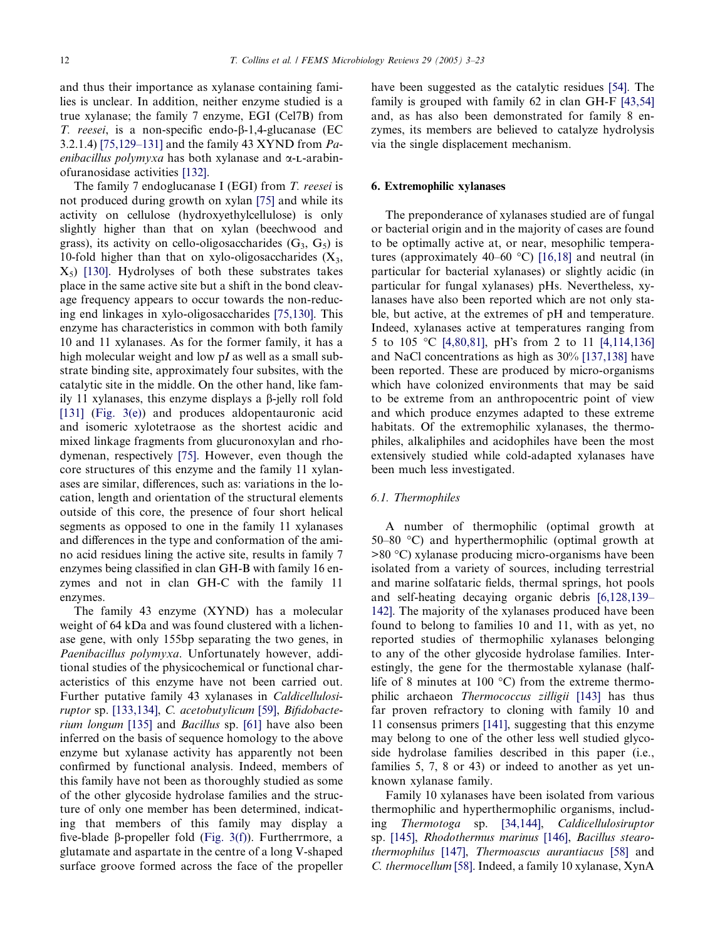and thus their importance as xylanase containing families is unclear. In addition, neither enzyme studied is a true xylanase; the family 7 enzyme, EGI (Cel7B) from T. reesei, is a non-specific endo-b-1,4-glucanase (EC 3.2.1.4) [\[75,129–131\]](#page-16-0) and the family 43 XYND from Paenibacillus polymyxa has both xylanase and  $\alpha$ -L-arabinofuranosidase activities [\[132\]](#page-18-0).

The family 7 endoglucanase I (EGI) from T. reesei is not produced during growth on xylan [\[75\]](#page-16-0) and while its activity on cellulose (hydroxyethylcellulose) is only slightly higher than that on xylan (beechwood and grass), its activity on cello-oligosaccharides  $(G_3, G_5)$  is 10-fold higher than that on xylo-oligosaccharides  $(X_3,$  $X_5$ ) [\[130\]](#page-18-0). Hydrolyses of both these substrates takes place in the same active site but a shift in the bond cleavage frequency appears to occur towards the non-reducing end linkages in xylo-oligosaccharides [\[75,130\].](#page-16-0) This enzyme has characteristics in common with both family 10 and 11 xylanases. As for the former family, it has a high molecular weight and low pI as well as a small substrate binding site, approximately four subsites, with the catalytic site in the middle. On the other hand, like family 11 xylanases, this enzyme displays a  $\beta$ -jelly roll fold [\[131\]](#page-18-0) ([Fig. 3\(e\)\)](#page-5-0) and produces aldopentauronic acid and isomeric xylotetraose as the shortest acidic and mixed linkage fragments from glucuronoxylan and rhodymenan, respectively [\[75\].](#page-16-0) However, even though the core structures of this enzyme and the family 11 xylanases are similar, differences, such as: variations in the location, length and orientation of the structural elements outside of this core, the presence of four short helical segments as opposed to one in the family 11 xylanases and differences in the type and conformation of the amino acid residues lining the active site, results in family 7 enzymes being classified in clan GH-B with family 16 enzymes and not in clan GH-C with the family 11 enzymes.

The family 43 enzyme (XYND) has a molecular weight of 64 kDa and was found clustered with a lichenase gene, with only 155bp separating the two genes, in Paenibacillus polymyxa. Unfortunately however, additional studies of the physicochemical or functional characteristics of this enzyme have not been carried out. Further putative family 43 xylanases in Caldicellulosiruptor sp. [\[133,134\]](#page-18-0), C. acetobutylicum [\[59\],](#page-15-0) Bifidobacterium longum [\[135\]](#page-18-0) and Bacillus sp. [\[61\]](#page-16-0) have also been inferred on the basis of sequence homology to the above enzyme but xylanase activity has apparently not been confirmed by functional analysis. Indeed, members of this family have not been as thoroughly studied as some of the other glycoside hydrolase families and the structure of only one member has been determined, indicating that members of this family may display a five-blade  $\beta$ -propeller fold [\(Fig. 3\(f\)\)](#page-5-0). Furtherrmore, a glutamate and aspartate in the centre of a long V-shaped surface groove formed across the face of the propeller

have been suggested as the catalytic residues [\[54\]](#page-15-0). The family is grouped with family 62 in clan GH-F [\[43,54\]](#page-15-0) and, as has also been demonstrated for family 8 enzymes, its members are believed to catalyze hydrolysis via the single displacement mechanism.

# 6. Extremophilic xylanases

The preponderance of xylanases studied are of fungal or bacterial origin and in the majority of cases are found to be optimally active at, or near, mesophilic temperatures (approximately 40–60  $^{\circ}$ C) [\[16,18\]](#page-14-0) and neutral (in particular for bacterial xylanases) or slightly acidic (in particular for fungal xylanases) pHs. Nevertheless, xylanases have also been reported which are not only stable, but active, at the extremes of pH and temperature. Indeed, xylanases active at temperatures ranging from 5 to 105 °C [\[4,80,81\],](#page-14-0) pH's from 2 to 11 [\[4,114,136\]](#page-14-0) and NaCl concentrations as high as 30% [\[137,138\]](#page-18-0) have been reported. These are produced by micro-organisms which have colonized environments that may be said to be extreme from an anthropocentric point of view and which produce enzymes adapted to these extreme habitats. Of the extremophilic xylanases, the thermophiles, alkaliphiles and acidophiles have been the most extensively studied while cold-adapted xylanases have been much less investigated.

# 6.1. Thermophiles

A number of thermophilic (optimal growth at 50–80  $\degree$ C) and hyperthermophilic (optimal growth at >80 °C) xylanase producing micro-organisms have been isolated from a variety of sources, including terrestrial and marine solfataric fields, thermal springs, hot pools and self-heating decaying organic debris [\[6,128,139–](#page-14-0) [142\]](#page-14-0). The majority of the xylanases produced have been found to belong to families 10 and 11, with as yet, no reported studies of thermophilic xylanases belonging to any of the other glycoside hydrolase families. Interestingly, the gene for the thermostable xylanase (halflife of 8 minutes at 100  $^{\circ}$ C) from the extreme thermophilic archaeon Thermococcus zilligii [\[143\]](#page-18-0) has thus far proven refractory to cloning with family 10 and 11 consensus primers [\[141\]](#page-18-0), suggesting that this enzyme may belong to one of the other less well studied glycoside hydrolase families described in this paper (i.e., families 5, 7, 8 or 43) or indeed to another as yet unknown xylanase family.

Family 10 xylanases have been isolated from various thermophilic and hyperthermophilic organisms, including Thermotoga sp. [\[34,144\],](#page-15-0) Caldicellulosiruptor sp. [\[145\]](#page-18-0), Rhodothermus marinus [\[146\],](#page-18-0) Bacillus stearothermophilus [\[147\]](#page-18-0), Thermoascus aurantiacus [\[58\]](#page-15-0) and C. thermocellum [\[58\]](#page-15-0). Indeed, a family 10 xylanase, XynA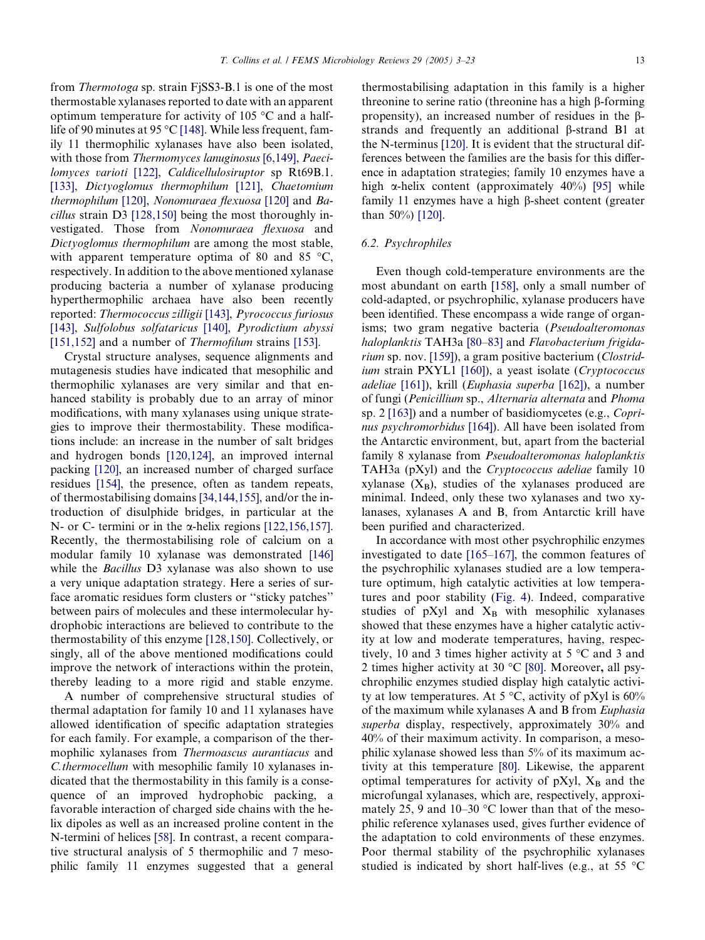from Thermotoga sp. strain FjSS3-B.1 is one of the most thermostable xylanases reported to date with an apparent optimum temperature for activity of 105  $\degree$ C and a half-life of 90 minutes at 95 °C [\[148\]](#page-18-0). While less frequent, family 11 thermophilic xylanases have also been isolated, with those from Thermomyces lanuginosus [\[6,149\]](#page-14-0), Paeci-lomyces varioti [\[122\],](#page-18-0) Caldicellulosiruptor sp Rt69B.1. [\[133\],](#page-18-0) Dictyoglomus thermophilum [\[121\],](#page-18-0) Chaetomium thermophilum [\[120\]](#page-17-0), Nonomuraea flexuosa [\[120\]](#page-17-0) and Bacillus strain D3 [\[128,150\]](#page-18-0) being the most thoroughly investigated. Those from Nonomuraea flexuosa and Dictyoglomus thermophilum are among the most stable, with apparent temperature optima of 80 and 85  $\degree$ C, respectively. In addition to the above mentioned xylanase producing bacteria a number of xylanase producing hyperthermophilic archaea have also been recently reported: Thermococcus zilligii [\[143\],](#page-18-0) Pyrococcus furiosus [\[143\],](#page-18-0) Sulfolobus solfataricus [\[140\]](#page-18-0), Pyrodictium abyssi [\[151,152\]](#page-18-0) and a number of *Thermofilum* strains [\[153\]](#page-19-0).

Crystal structure analyses, sequence alignments and mutagenesis studies have indicated that mesophilic and thermophilic xylanases are very similar and that enhanced stability is probably due to an array of minor modifications, with many xylanases using unique strategies to improve their thermostability. These modifications include: an increase in the number of salt bridges and hydrogen bonds [\[120,124\],](#page-17-0) an improved internal packing [\[120\]](#page-17-0), an increased number of charged surface residues [\[154\],](#page-19-0) the presence, often as tandem repeats, of thermostabilising domains [\[34,144,155\]](#page-15-0), and/or the introduction of disulphide bridges, in particular at the N- or C- termini or in the  $\alpha$ -helix regions [\[122,156,157\].](#page-18-0) Recently, the thermostabilising role of calcium on a modular family 10 xylanase was demonstrated [\[146\]](#page-18-0) while the *Bacillus* D3 xylanase was also shown to use a very unique adaptation strategy. Here a series of surface aromatic residues form clusters or ''sticky patches'' between pairs of molecules and these intermolecular hydrophobic interactions are believed to contribute to the thermostability of this enzyme [\[128,150\].](#page-18-0) Collectively, or singly, all of the above mentioned modifications could improve the network of interactions within the protein, thereby leading to a more rigid and stable enzyme.

A number of comprehensive structural studies of thermal adaptation for family 10 and 11 xylanases have allowed identification of specific adaptation strategies for each family. For example, a comparison of the thermophilic xylanases from Thermoascus aurantiacus and C.thermocellum with mesophilic family 10 xylanases indicated that the thermostability in this family is a consequence of an improved hydrophobic packing, a favorable interaction of charged side chains with the helix dipoles as well as an increased proline content in the N-termini of helices [\[58\].](#page-15-0) In contrast, a recent comparative structural analysis of 5 thermophilic and 7 mesophilic family 11 enzymes suggested that a general thermostabilising adaptation in this family is a higher threonine to serine ratio (threonine has a high b-forming propensity), an increased number of residues in the bstrands and frequently an additional  $\beta$ -strand B1 at the N-terminus [\[120\]](#page-17-0). It is evident that the structural differences between the families are the basis for this difference in adaptation strategies; family 10 enzymes have a high  $\alpha$ -helix content (approximately 40%) [\[95\]](#page-17-0) while family 11 enzymes have a high  $\beta$ -sheet content (greater than 50%) [\[120\]](#page-17-0).

# 6.2. Psychrophiles

Even though cold-temperature environments are the most abundant on earth [\[158\],](#page-19-0) only a small number of cold-adapted, or psychrophilic, xylanase producers have been identified. These encompass a wide range of organisms; two gram negative bacteria (Pseudoalteromonas haloplanktis TAH3a [\[80–83\]](#page-16-0) and Flavobacterium frigidarium sp. nov. [\[159\]](#page-19-0)), a gram positive bacterium (Clostrid-ium strain PXYL1 [\[160\]\)](#page-19-0), a yeast isolate (Cryptococcus adeliae [\[161\]](#page-19-0)), krill (Euphasia superba [\[162\]\)](#page-19-0), a number of fungi (Penicillium sp., Alternaria alternata and Phoma sp. 2 [\[163\]](#page-19-0)) and a number of basidiomycetes (e.g., Coprinus psychromorbidus [\[164\]](#page-19-0)). All have been isolated from the Antarctic environment, but, apart from the bacterial family 8 xylanase from Pseudoalteromonas haloplanktis TAH3a (pXyl) and the Cryptococcus adeliae family 10 xylanase  $(X_B)$ , studies of the xylanases produced are minimal. Indeed, only these two xylanases and two xylanases, xylanases A and B, from Antarctic krill have been purified and characterized.

In accordance with most other psychrophilic enzymes investigated to date [\[165–167\]](#page-19-0), the common features of the psychrophilic xylanases studied are a low temperature optimum, high catalytic activities at low temperatures and poor stability [\(Fig. 4\)](#page-11-0). Indeed, comparative studies of  $pXyl$  and  $X_B$  with mesophilic xylanases showed that these enzymes have a higher catalytic activity at low and moderate temperatures, having, respectively, 10 and 3 times higher activity at  $5^{\circ}$ C and 3 and 2 times higher activity at 30  $^{\circ}$ C [\[80\]](#page-16-0). Moreover, all psychrophilic enzymes studied display high catalytic activity at low temperatures. At 5  $\degree$ C, activity of pXyl is 60% of the maximum while xylanases A and B from Euphasia superba display, respectively, approximately 30% and 40% of their maximum activity. In comparison, a mesophilic xylanase showed less than 5% of its maximum activity at this temperature [\[80\].](#page-16-0) Likewise, the apparent optimal temperatures for activity of pXyl,  $X_B$  and the microfungal xylanases, which are, respectively, approximately 25, 9 and 10–30  $\degree$ C lower than that of the mesophilic reference xylanases used, gives further evidence of the adaptation to cold environments of these enzymes. Poor thermal stability of the psychrophilic xylanases studied is indicated by short half-lives (e.g., at 55  $\degree$ C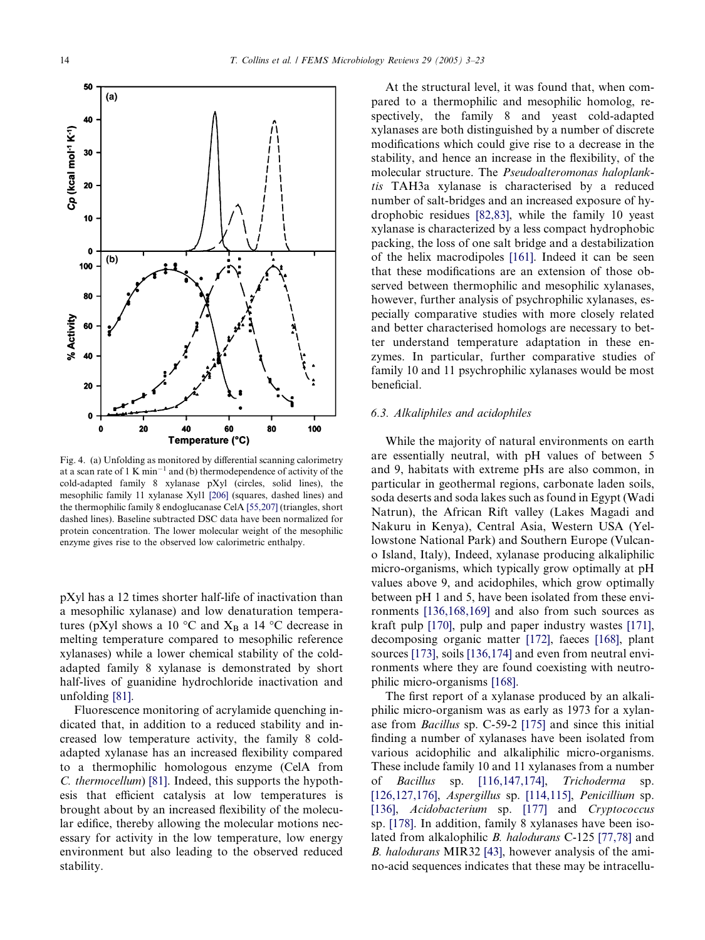<span id="page-11-0"></span>

Fig. 4. (a) Unfolding as monitored by differential scanning calorimetry at a scan rate of  $1 \text{ K min}^{-1}$  and (b) thermodependence of activity of the cold-adapted family 8 xylanase pXyl (circles, solid lines), the mesophilic family 11 xylanase Xyl1 [\[206\]](#page-20-0) (squares, dashed lines) and the thermophilic family 8 endoglucanase CelA [\[55,207\]](#page-15-0) (triangles, short dashed lines). Baseline subtracted DSC data have been normalized for protein concentration. The lower molecular weight of the mesophilic enzyme gives rise to the observed low calorimetric enthalpy.

pXyl has a 12 times shorter half-life of inactivation than a mesophilic xylanase) and low denaturation temperatures (pXyl shows a 10  $\rm{^{\circ}C}$  and  $\rm{X_B}$  a 14  $\rm{^{\circ}C}$  decrease in melting temperature compared to mesophilic reference xylanases) while a lower chemical stability of the coldadapted family 8 xylanase is demonstrated by short half-lives of guanidine hydrochloride inactivation and unfolding [\[81\].](#page-16-0)

Fluorescence monitoring of acrylamide quenching indicated that, in addition to a reduced stability and increased low temperature activity, the family 8 coldadapted xylanase has an increased flexibility compared to a thermophilic homologous enzyme (CelA from C. thermocellum) [\[81\]](#page-16-0). Indeed, this supports the hypothesis that efficient catalysis at low temperatures is brought about by an increased flexibility of the molecular edifice, thereby allowing the molecular motions necessary for activity in the low temperature, low energy environment but also leading to the observed reduced stability.

At the structural level, it was found that, when compared to a thermophilic and mesophilic homolog, respectively, the family 8 and yeast cold-adapted xylanases are both distinguished by a number of discrete modifications which could give rise to a decrease in the stability, and hence an increase in the flexibility, of the molecular structure. The Pseudoalteromonas haloplanktis TAH3a xylanase is characterised by a reduced number of salt-bridges and an increased exposure of hydrophobic residues [\[82,83\]](#page-16-0), while the family 10 yeast xylanase is characterized by a less compact hydrophobic packing, the loss of one salt bridge and a destabilization of the helix macrodipoles [\[161\].](#page-19-0) Indeed it can be seen that these modifications are an extension of those observed between thermophilic and mesophilic xylanases, however, further analysis of psychrophilic xylanases, especially comparative studies with more closely related and better characterised homologs are necessary to better understand temperature adaptation in these enzymes. In particular, further comparative studies of family 10 and 11 psychrophilic xylanases would be most beneficial.

# 6.3. Alkaliphiles and acidophiles

While the majority of natural environments on earth are essentially neutral, with pH values of between 5 and 9, habitats with extreme pHs are also common, in particular in geothermal regions, carbonate laden soils, soda deserts and soda lakes such as found in Egypt (Wadi Natrun), the African Rift valley (Lakes Magadi and Nakuru in Kenya), Central Asia, Western USA (Yellowstone National Park) and Southern Europe (Vulcano Island, Italy), Indeed, xylanase producing alkaliphilic micro-organisms, which typically grow optimally at pH values above 9, and acidophiles, which grow optimally between pH 1 and 5, have been isolated from these environments [\[136,168,169\]](#page-18-0) and also from such sources as kraft pulp [\[170\],](#page-19-0) pulp and paper industry wastes [\[171\]](#page-19-0), decomposing organic matter [\[172\],](#page-19-0) faeces [\[168\]](#page-19-0), plant sources [\[173\],](#page-19-0) soils [\[136,174\]](#page-18-0) and even from neutral environments where they are found coexisting with neutrophilic micro-organisms [\[168\].](#page-19-0)

The first report of a xylanase produced by an alkaliphilic micro-organism was as early as 1973 for a xylanase from Bacillus sp. C-59-2 [\[175\]](#page-19-0) and since this initial finding a number of xylanases have been isolated from various acidophilic and alkaliphilic micro-organisms. These include family 10 and 11 xylanases from a number of Bacillus sp. [\[116,147,174\]](#page-17-0), Trichoderma sp. [\[126,127,176\]](#page-18-0), *Aspergillus* sp. [\[114,115\]](#page-17-0), *Penicillium* sp. [\[136\]](#page-18-0), Acidobacterium sp. [\[177\]](#page-19-0) and Cryptococcus sp. [\[178\]](#page-19-0). In addition, family 8 xylanases have been isolated from alkalophilic B. halodurans C-125 [\[77,78\]](#page-16-0) and B. halodurans MIR32 [\[43\]](#page-15-0), however analysis of the amino-acid sequences indicates that these may be intracellu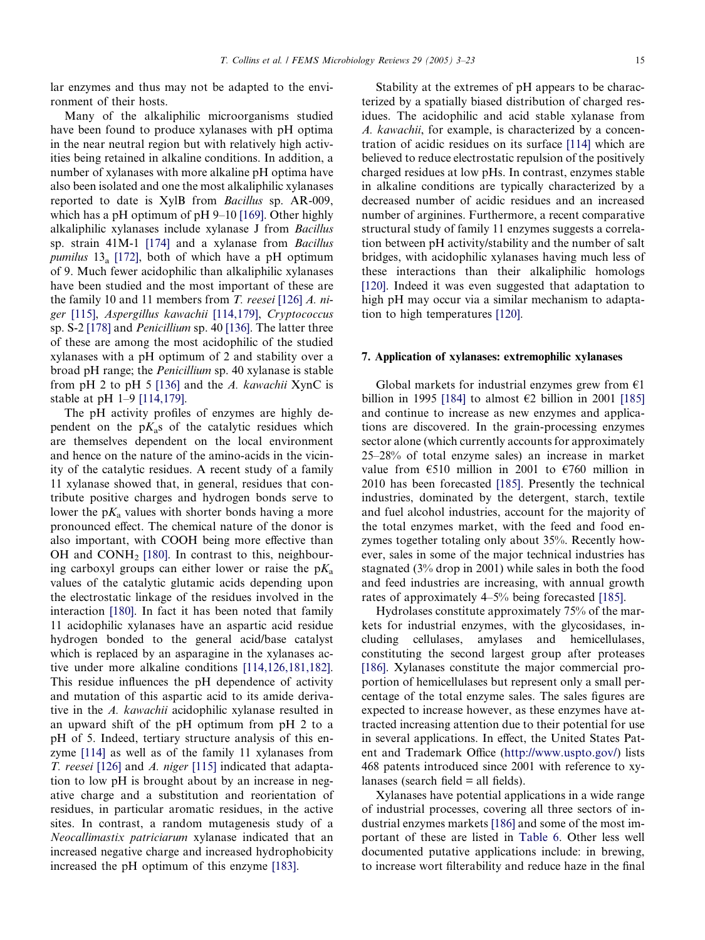lar enzymes and thus may not be adapted to the environment of their hosts.

Many of the alkaliphilic microorganisms studied have been found to produce xylanases with pH optima in the near neutral region but with relatively high activities being retained in alkaline conditions. In addition, a number of xylanases with more alkaline pH optima have also been isolated and one the most alkaliphilic xylanases reported to date is XylB from Bacillus sp. AR-009, which has a pH optimum of pH 9–10 [\[169\].](#page-19-0) Other highly alkaliphilic xylanases include xylanase J from Bacillus sp. strain 41M-1 [\[174\]](#page-19-0) and a xylanase from Bacillus *pumilus*  $13_a$  [\[172\]](#page-19-0), both of which have a pH optimum of 9. Much fewer acidophilic than alkaliphilic xylanases have been studied and the most important of these are the family 10 and 11 members from T. reesei [\[126\]](#page-18-0) A. niger [\[115\],](#page-17-0) Aspergillus kawachii [\[114,179\]](#page-17-0), Cryptococcus sp. S-2 [\[178\]](#page-19-0) and Penicillium sp. 40 [\[136\]](#page-18-0). The latter three of these are among the most acidophilic of the studied xylanases with a pH optimum of 2 and stability over a broad pH range; the Penicillium sp. 40 xylanase is stable from pH 2 to pH 5 [\[136\]](#page-18-0) and the A. kawachii XynC is stable at pH 1–9 [\[114,179\].](#page-17-0)

The pH activity profiles of enzymes are highly dependent on the  $pK_a$ s of the catalytic residues which are themselves dependent on the local environment and hence on the nature of the amino-acids in the vicinity of the catalytic residues. A recent study of a family 11 xylanase showed that, in general, residues that contribute positive charges and hydrogen bonds serve to lower the  $pK_a$  values with shorter bonds having a more pronounced effect. The chemical nature of the donor is also important, with COOH being more effective than OH and CONH<sub>2</sub> [\[180\].](#page-19-0) In contrast to this, neighbouring carboxyl groups can either lower or raise the  $pK_a$ values of the catalytic glutamic acids depending upon the electrostatic linkage of the residues involved in the interaction [\[180\]](#page-19-0). In fact it has been noted that family 11 acidophilic xylanases have an aspartic acid residue hydrogen bonded to the general acid/base catalyst which is replaced by an asparagine in the xylanases active under more alkaline conditions [\[114,126,181,182\].](#page-17-0) This residue influences the pH dependence of activity and mutation of this aspartic acid to its amide derivative in the A. kawachii acidophilic xylanase resulted in an upward shift of the pH optimum from pH 2 to a pH of 5. Indeed, tertiary structure analysis of this enzyme [\[114\]](#page-17-0) as well as of the family 11 xylanases from T. reesei [\[126\]](#page-18-0) and A. niger [\[115\]](#page-17-0) indicated that adaptation to low pH is brought about by an increase in negative charge and a substitution and reorientation of residues, in particular aromatic residues, in the active sites. In contrast, a random mutagenesis study of a Neocallimastix patriciarum xylanase indicated that an increased negative charge and increased hydrophobicity increased the pH optimum of this enzyme [\[183\]](#page-19-0).

Stability at the extremes of pH appears to be characterized by a spatially biased distribution of charged residues. The acidophilic and acid stable xylanase from A. kawachii, for example, is characterized by a concentration of acidic residues on its surface [\[114\]](#page-17-0) which are believed to reduce electrostatic repulsion of the positively charged residues at low pHs. In contrast, enzymes stable in alkaline conditions are typically characterized by a decreased number of acidic residues and an increased number of arginines. Furthermore, a recent comparative structural study of family 11 enzymes suggests a correlation between pH activity/stability and the number of salt bridges, with acidophilic xylanases having much less of these interactions than their alkaliphilic homologs [\[120\].](#page-17-0) Indeed it was even suggested that adaptation to high pH may occur via a similar mechanism to adaptation to high temperatures [\[120\]](#page-17-0).

#### 7. Application of xylanases: extremophilic xylanases

Global markets for industrial enzymes grew from  $\epsilon$ 1 billion in 1995 [\[184\]](#page-19-0) to almost  $\epsilon$ 2 billion in 2001 [\[185\]](#page-19-0) and continue to increase as new enzymes and applications are discovered. In the grain-processing enzymes sector alone (which currently accounts for approximately 25–28% of total enzyme sales) an increase in market value from  $\epsilon$ 510 million in 2001 to  $\epsilon$ 760 million in 2010 has been forecasted [\[185\].](#page-19-0) Presently the technical industries, dominated by the detergent, starch, textile and fuel alcohol industries, account for the majority of the total enzymes market, with the feed and food enzymes together totaling only about 35%. Recently however, sales in some of the major technical industries has stagnated (3% drop in 2001) while sales in both the food and feed industries are increasing, with annual growth rates of approximately 4–5% being forecasted [\[185\]](#page-19-0).

Hydrolases constitute approximately 75% of the markets for industrial enzymes, with the glycosidases, including cellulases, amylases and hemicellulases, constituting the second largest group after proteases [\[186\].](#page-19-0) Xylanases constitute the major commercial proportion of hemicellulases but represent only a small percentage of the total enzyme sales. The sales figures are expected to increase however, as these enzymes have attracted increasing attention due to their potential for use in several applications. In effect, the United States Patent and Trademark Office [\(http://www.uspto.gov/](http://www.uspto.gov/)) lists 468 patents introduced since 2001 with reference to xylanases (search field  $=$  all fields).

Xylanases have potential applications in a wide range of industrial processes, covering all three sectors of industrial enzymes markets [\[186\]](#page-19-0) and some of the most important of these are listed in [Table 6](#page-13-0). Other less well documented putative applications include: in brewing, to increase wort filterability and reduce haze in the final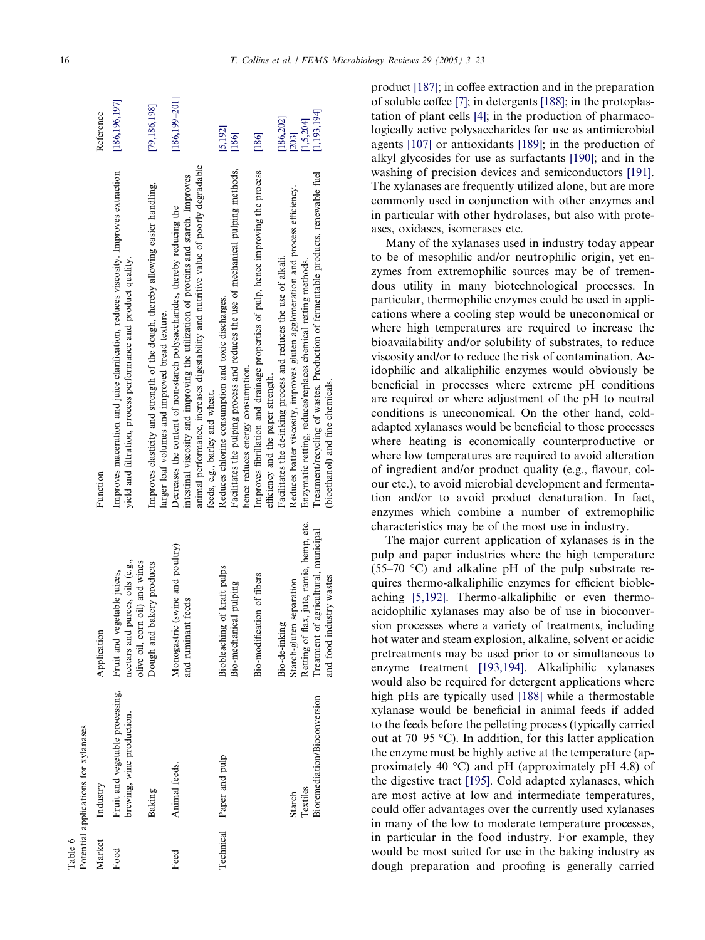<span id="page-13-0"></span>

| Table 6 |                                      |                                          |                                                                                      |                    |
|---------|--------------------------------------|------------------------------------------|--------------------------------------------------------------------------------------|--------------------|
|         | Potential applications for xylanases |                                          |                                                                                      |                    |
| Market  | Industry                             | Application                              | Function                                                                             | Reference          |
| Food    | Fruit and vegetable processing,      | Fruit and vegetable juices,              | Improves maceration and juice clarification, reduces viscosity. Improves extraction  | [186,196,197]      |
|         | brewing, wine production.            | nectars and purees, oils (e.g.,          | yield and filtration, process performance and product quality.                       |                    |
|         |                                      | olive oil, corn oil) and wines           |                                                                                      |                    |
|         | Baking                               | bakery products<br>Dough and             | Improves elasticity and strength of the dough, thereby allowing easier handling,     | [79,186,198]       |
|         |                                      |                                          | larger loaf volumes and improved bread texture.                                      |                    |
| Feed    | Animal feeds.                        | Monogastric (swine and poultry)          | Decreases the content of non-starch polysaccharides, thereby reducing the            | $[186, 199 - 201]$ |
|         |                                      | and ruminant feeds                       | intestinal viscosity and improving the utilization of proteins and starch. Improves  |                    |
|         |                                      |                                          | animal performance, increases digestability and nutritive value of poorly degradable |                    |
|         |                                      |                                          | feeds, e.g., barley and wheat.                                                       |                    |
|         | Technical Paper and pulp             | Biobleaching of kraft pulps              | Reduces chlorine consumption and toxic discharges.                                   | [5, 192]           |
|         |                                      | Bio-mechanical pulping                   | Facilitates the pulping process and reduces the use of mechanical pulping methods,   | [186]              |
|         |                                      |                                          | hence reduces energy consumption.                                                    |                    |
|         |                                      | Bio-modification of fibers               | Improves fibrillation and drainage properties of pulp, hence improving the process   | [186]              |
|         |                                      |                                          | efficiency and the paper strength.                                                   |                    |
|         |                                      | Bio-de-inking                            | Facilitates the de-inking process and reduces the use of alkali.                     | [186, 202]         |
|         | Starch                               | Starch-gluten separation                 | Reduces batter viscosity, improves gluten agglomeration and process efficiency.      | $[203]$            |
|         | Textiles                             | Retting of flax, jute, ramie, hemp, etc. | Enzymatic retting, reduces/replaces chemical retting methods.                        | 1,5,204]           |
|         | Bioremediation/Bioconversion         | Treatment of agricultural, municipal     | Treatment/recycling of wastes. Production of fermentable products, renewable fuel    | [1, 193, 194]      |
|         |                                      | and food industry wastes                 | (bioethanol) and fine chemicals.                                                     |                    |

product [\[187\]](#page-19-0); in coffee extraction and in the preparation of soluble coffee [\[7\];](#page-14-0) in detergents [\[188\]](#page-19-0); in the protoplastation of plant cells [\[4\];](#page-14-0) in the production of pharmacologically active polysaccharides for use as antimicrobial agents [\[107\]](#page-17-0) or antioxidants [\[189\]](#page-19-0); in the production of alkyl glycosides for use as surfactants [\[190\];](#page-20-0) and in the washing of precision devices and semiconductors [\[191\]](#page-20-0). The xylanases are frequently utilized alone, but are more commonly used in conjunction with other enzymes and in particular with other hydrolases, but also with proteases, oxidases, isomerases etc.

Many of the xylanases used in industry today appear to be of mesophilic and/or neutrophilic origin, yet enzymes from extremophilic sources may be of tremendous utility in many biotechnological processes. In particular, thermophilic enzymes could be used in applications where a cooling step would be uneconomical or where high temperatures are required to increase the bioavailability and/or solubility of substrates, to reduce viscosity and/or to reduce the risk of contamination. Acidophilic and alkaliphilic enzymes would obviously be beneficial in processes where extreme pH conditions are required or where adjustment of the pH to neutral conditions is uneconomical. On the other hand, coldadapted xylanases would be beneficial to those processes where heating is economically counterproductive or where low temperatures are required to avoid alteration of ingredient and/or product quality (e.g., flavour, colour etc.), to avoid microbial development and fermentation and/or to avoid product denaturation. In fact, enzymes which combine a number of extremophilic characteristics may be of the most use in industry.

The major current application of xylanases is in the pulp and paper industries where the high temperature  $(55-70 \degree C)$  and alkaline pH of the pulp substrate requires thermo-alkaliphilic enzymes for efficient biobleaching [\[5,192\]](#page-14-0). Thermo-alkaliphilic or even thermoacidophilic xylanases may also be of use in bioconversion processes where a variety of treatments, including hot water and steam explosion, alkaline, solvent or acidic pretreatments may be used prior to or simultaneous to enzyme treatment [\[193,194\]](#page-20-0). Alkaliphilic xylanases would also be required for detergent applications where high pHs are typically used [\[188\]](#page-19-0) while a thermostable xylanase would be beneficial in animal feeds if added to the feeds before the pelleting process (typically carried out at 70–95  $\degree$ C). In addition, for this latter application the enzyme must be highly active at the temperature (approximately 40  $^{\circ}$ C) and pH (approximately pH 4.8) of the digestive tract [\[195\].](#page-20-0) Cold adapted xylanases, which are most active at low and intermediate temperatures, could offer advantages over the currently used xylanases in many of the low to moderate temperature processes, in particular in the food industry. For example, they would be most suited for use in the baking industry as dough preparation and proofing is generally carried

 $1 - 1$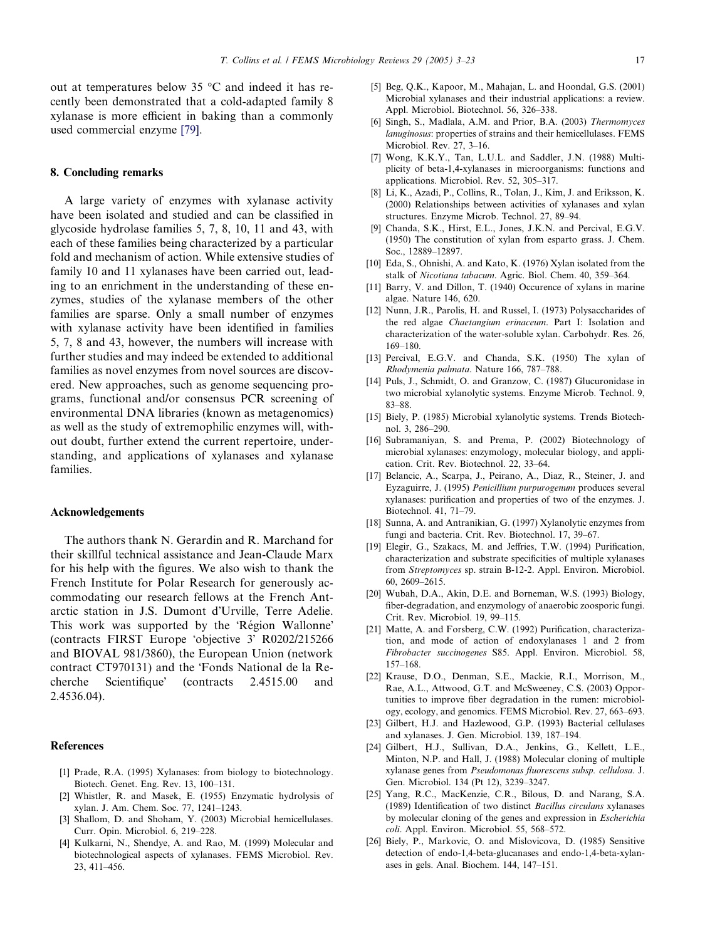<span id="page-14-0"></span>out at temperatures below 35  $\degree$ C and indeed it has recently been demonstrated that a cold-adapted family 8 xylanase is more efficient in baking than a commonly used commercial enzyme [\[79\]](#page-16-0).

# 8. Concluding remarks

A large variety of enzymes with xylanase activity have been isolated and studied and can be classified in glycoside hydrolase families 5, 7, 8, 10, 11 and 43, with each of these families being characterized by a particular fold and mechanism of action. While extensive studies of family 10 and 11 xylanases have been carried out, leading to an enrichment in the understanding of these enzymes, studies of the xylanase members of the other families are sparse. Only a small number of enzymes with xylanase activity have been identified in families 5, 7, 8 and 43, however, the numbers will increase with further studies and may indeed be extended to additional families as novel enzymes from novel sources are discovered. New approaches, such as genome sequencing programs, functional and/or consensus PCR screening of environmental DNA libraries (known as metagenomics) as well as the study of extremophilic enzymes will, without doubt, further extend the current repertoire, understanding, and applications of xylanases and xylanase families.

#### Acknowledgements

The authors thank N. Gerardin and R. Marchand for their skillful technical assistance and Jean-Claude Marx for his help with the figures. We also wish to thank the French Institute for Polar Research for generously accommodating our research fellows at the French Antarctic station in J.S. Dumont d'Urville, Terre Adelie. This work was supported by the 'Région Wallonne' (contracts FIRST Europe 'objective 3' R0202/215266 and BIOVAL 981/3860), the European Union (network contract CT970131) and the Fonds National de la Recherche Scientifique' (contracts 2.4515.00 and 2.4536.04).

## References

- [1] Prade, R.A. (1995) Xylanases: from biology to biotechnology. Biotech. Genet. Eng. Rev. 13, 100–131.
- [2] Whistler, R. and Masek, E. (1955) Enzymatic hydrolysis of xylan. J. Am. Chem. Soc. 77, 1241–1243.
- Shallom, D. and Shoham, Y. (2003) Microbial hemicellulases. Curr. Opin. Microbiol. 6, 219–228.
- [4] Kulkarni, N., Shendye, A. and Rao, M. (1999) Molecular and biotechnological aspects of xylanases. FEMS Microbiol. Rev. 23, 411–456.
- [5] Beg, Q.K., Kapoor, M., Mahajan, L. and Hoondal, G.S. (2001) Microbial xylanases and their industrial applications: a review. Appl. Microbiol. Biotechnol. 56, 326–338.
- [6] Singh, S., Madlala, A.M. and Prior, B.A. (2003) Thermomyces lanuginosus: properties of strains and their hemicellulases. FEMS Microbiol. Rev. 27, 3–16.
- [7] Wong, K.K.Y., Tan, L.U.L. and Saddler, J.N. (1988) Multiplicity of beta-1,4-xylanases in microorganisms: functions and applications. Microbiol. Rev. 52, 305–317.
- [8] Li, K., Azadi, P., Collins, R., Tolan, J., Kim, J. and Eriksson, K. (2000) Relationships between activities of xylanases and xylan structures. Enzyme Microb. Technol. 27, 89–94.
- [9] Chanda, S.K., Hirst, E.L., Jones, J.K.N. and Percival, E.G.V. (1950) The constitution of xylan from esparto grass. J. Chem. Soc., 12889–12897.
- [10] Eda, S., Ohnishi, A. and Kato, K. (1976) Xylan isolated from the stalk of Nicotiana tabacum. Agric. Biol. Chem. 40, 359–364.
- [11] Barry, V. and Dillon, T. (1940) Occurence of xylans in marine algae. Nature 146, 620.
- [12] Nunn, J.R., Parolis, H. and Russel, I. (1973) Polysaccharides of the red algae Chaetangium erinaceum. Part I: Isolation and characterization of the water-soluble xylan. Carbohydr. Res. 26, 169–180.
- [13] Percival, E.G.V. and Chanda, S.K. (1950) The xylan of Rhodymenia palmata. Nature 166, 787–788.
- [14] Puls, J., Schmidt, O. and Granzow, C. (1987) Glucuronidase in two microbial xylanolytic systems. Enzyme Microb. Technol. 9, 83–88.
- [15] Biely, P. (1985) Microbial xylanolytic systems. Trends Biotechnol. 3, 286–290.
- [16] Subramaniyan, S. and Prema, P. (2002) Biotechnology of microbial xylanases: enzymology, molecular biology, and application. Crit. Rev. Biotechnol. 22, 33–64.
- [17] Belancic, A., Scarpa, J., Peirano, A., Diaz, R., Steiner, J. and Eyzaguirre, J. (1995) Penicillium purpurogenum produces several xylanases: purification and properties of two of the enzymes. J. Biotechnol. 41, 71–79.
- [18] Sunna, A. and Antranikian, G. (1997) Xylanolytic enzymes from fungi and bacteria. Crit. Rev. Biotechnol. 17, 39–67.
- [19] Elegir, G., Szakacs, M. and Jeffries, T.W. (1994) Purification, characterization and substrate specificities of multiple xylanases from Streptomyces sp. strain B-12-2. Appl. Environ. Microbiol. 60, 2609–2615.
- [20] Wubah, D.A., Akin, D.E. and Borneman, W.S. (1993) Biology, fiber-degradation, and enzymology of anaerobic zoosporic fungi. Crit. Rev. Microbiol. 19, 99–115.
- [21] Matte, A. and Forsberg, C.W. (1992) Purification, characterization, and mode of action of endoxylanases 1 and 2 from Fibrobacter succinogenes S85. Appl. Environ. Microbiol. 58, 157–168.
- [22] Krause, D.O., Denman, S.E., Mackie, R.I., Morrison, M., Rae, A.L., Attwood, G.T. and McSweeney, C.S. (2003) Opportunities to improve fiber degradation in the rumen: microbiology, ecology, and genomics. FEMS Microbiol. Rev. 27, 663–693.
- [23] Gilbert, H.J. and Hazlewood, G.P. (1993) Bacterial cellulases and xylanases. J. Gen. Microbiol. 139, 187–194.
- [24] Gilbert, H.J., Sullivan, D.A., Jenkins, G., Kellett, L.E., Minton, N.P. and Hall, J. (1988) Molecular cloning of multiple xylanase genes from Pseudomonas fluorescens subsp. cellulosa. J. Gen. Microbiol. 134 (Pt 12), 3239–3247.
- [25] Yang, R.C., MacKenzie, C.R., Bilous, D. and Narang, S.A. (1989) Identification of two distinct Bacillus circulans xylanases by molecular cloning of the genes and expression in Escherichia coli. Appl. Environ. Microbiol. 55, 568–572.
- [26] Biely, P., Markovic, O. and Mislovicova, D. (1985) Sensitive detection of endo-1,4-beta-glucanases and endo-1,4-beta-xylanases in gels. Anal. Biochem. 144, 147–151.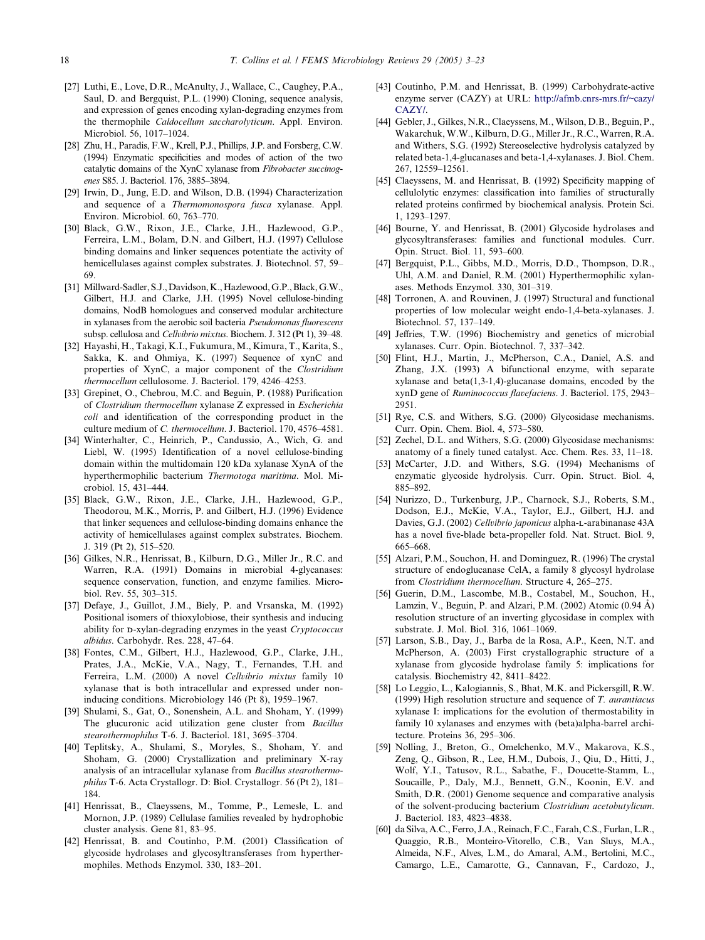- <span id="page-15-0"></span>[27] Luthi, E., Love, D.R., McAnulty, J., Wallace, C., Caughey, P.A., Saul, D. and Bergquist, P.L. (1990) Cloning, sequence analysis, and expression of genes encoding xylan-degrading enzymes from the thermophile Caldocellum saccharolyticum. Appl. Environ. Microbiol. 56, 1017–1024.
- [28] Zhu, H., Paradis, F.W., Krell, P.J., Phillips, J.P. and Forsberg, C.W. (1994) Enzymatic specificities and modes of action of the two catalytic domains of the XynC xylanase from Fibrobacter succinogenes S85. J. Bacteriol. 176, 3885–3894.
- [29] Irwin, D., Jung, E.D. and Wilson, D.B. (1994) Characterization and sequence of a Thermomonospora fusca xylanase. Appl. Environ. Microbiol. 60, 763–770.
- [30] Black, G.W., Rixon, J.E., Clarke, J.H., Hazlewood, G.P., Ferreira, L.M., Bolam, D.N. and Gilbert, H.J. (1997) Cellulose binding domains and linker sequences potentiate the activity of hemicellulases against complex substrates. J. Biotechnol. 57, 59– 69.
- [31] Millward-Sadler, S.J., Davidson, K., Hazlewood, G.P., Black, G.W., Gilbert, H.J. and Clarke, J.H. (1995) Novel cellulose-binding domains, NodB homologues and conserved modular architecture in xylanases from the aerobic soil bacteria Pseudomonas fluorescens subsp. cellulosa and Cellvibrio mixtus. Biochem. J. 312 (Pt 1), 39–48.
- [32] Hayashi, H., Takagi, K.I., Fukumura, M., Kimura, T., Karita, S., Sakka, K. and Ohmiya, K. (1997) Sequence of xynC and properties of XynC, a major component of the Clostridium thermocellum cellulosome. J. Bacteriol. 179, 4246–4253.
- [33] Grepinet, O., Chebrou, M.C. and Beguin, P. (1988) Purification of Clostridium thermocellum xylanase Z expressed in Escherichia coli and identification of the corresponding product in the culture medium of C. thermocellum. J. Bacteriol. 170, 4576–4581.
- [34] Winterhalter, C., Heinrich, P., Candussio, A., Wich, G. and Liebl, W. (1995) Identification of a novel cellulose-binding domain within the multidomain 120 kDa xylanase XynA of the hyperthermophilic bacterium Thermotoga maritima. Mol. Microbiol. 15, 431–444.
- [35] Black, G.W., Rixon, J.E., Clarke, J.H., Hazlewood, G.P., Theodorou, M.K., Morris, P. and Gilbert, H.J. (1996) Evidence that linker sequences and cellulose-binding domains enhance the activity of hemicellulases against complex substrates. Biochem. J. 319 (Pt 2), 515–520.
- [36] Gilkes, N.R., Henrissat, B., Kilburn, D.G., Miller Jr., R.C. and Warren, R.A. (1991) Domains in microbial 4-glycanases: sequence conservation, function, and enzyme families. Microbiol. Rev. 55, 303–315.
- [37] Defaye, J., Guillot, J.M., Biely, P. and Vrsanska, M. (1992) Positional isomers of thioxylobiose, their synthesis and inducing ability for D-xylan-degrading enzymes in the yeast Cryptococcus albidus. Carbohydr. Res. 228, 47–64.
- [38] Fontes, C.M., Gilbert, H.J., Hazlewood, G.P., Clarke, J.H., Prates, J.A., McKie, V.A., Nagy, T., Fernandes, T.H. and Ferreira, L.M. (2000) A novel Cellvibrio mixtus family 10 xylanase that is both intracellular and expressed under noninducing conditions. Microbiology 146 (Pt  $\bar{8}$ ), 1959–1967.
- [39] Shulami, S., Gat, O., Sonenshein, A.L. and Shoham, Y. (1999) The glucuronic acid utilization gene cluster from Bacillus stearothermophilus T-6. J. Bacteriol. 181, 3695–3704.
- [40] Teplitsky, A., Shulami, S., Moryles, S., Shoham, Y. and Shoham, G. (2000) Crystallization and preliminary X-ray analysis of an intracellular xylanase from Bacillus stearothermophilus T-6. Acta Crystallogr. D: Biol. Crystallogr. 56 (Pt 2), 181– 184.
- [41] Henrissat, B., Claeyssens, M., Tomme, P., Lemesle, L. and Mornon, J.P. (1989) Cellulase families revealed by hydrophobic cluster analysis. Gene 81, 83–95.
- [42] Henrissat, B. and Coutinho, P.M. (2001) Classification of glycoside hydrolases and glycosyltransferases from hyperthermophiles. Methods Enzymol. 330, 183–201.
- [43] Coutinho, P.M. and Henrissat, B. (1999) Carbohydrate-active enzyme server (CAZY) at URL: [http://afmb.cnrs-mrs.fr/~cazy/](http://afmb.cnrs-mrs.fr/~cazy/CAZY/) [CAZY/](http://afmb.cnrs-mrs.fr/~cazy/CAZY/).
- [44] Gebler, J., Gilkes, N.R., Claeyssens, M., Wilson, D.B., Beguin, P., Wakarchuk, W.W., Kilburn, D.G., Miller Jr., R.C., Warren, R.A. and Withers, S.G. (1992) Stereoselective hydrolysis catalyzed by related beta-1,4-glucanases and beta-1,4-xylanases. J. Biol. Chem. 267, 12559–12561.
- [45] Claeyssens, M. and Henrissat, B. (1992) Specificity mapping of cellulolytic enzymes: classification into families of structurally related proteins confirmed by biochemical analysis. Protein Sci. 1, 1293–1297.
- [46] Bourne, Y. and Henrissat, B. (2001) Glycoside hydrolases and glycosyltransferases: families and functional modules. Curr. Opin. Struct. Biol. 11, 593–600.
- [47] Bergquist, P.L., Gibbs, M.D., Morris, D.D., Thompson, D.R., Uhl, A.M. and Daniel, R.M. (2001) Hyperthermophilic xylanases. Methods Enzymol. 330, 301–319.
- [48] Torronen, A. and Rouvinen, J. (1997) Structural and functional properties of low molecular weight endo-1,4-beta-xylanases. J. Biotechnol. 57, 137–149.
- [49] Jeffries, T.W. (1996) Biochemistry and genetics of microbial xylanases. Curr. Opin. Biotechnol. 7, 337–342.
- [50] Flint, H.J., Martin, J., McPherson, C.A., Daniel, A.S. and Zhang, J.X. (1993) A bifunctional enzyme, with separate xylanase and beta(1,3-1,4)-glucanase domains, encoded by the xynD gene of Ruminococcus flavefaciens. J. Bacteriol. 175, 2943– 2951.
- [51] Rye, C.S. and Withers, S.G. (2000) Glycosidase mechanisms. Curr. Opin. Chem. Biol. 4, 573–580.
- [52] Zechel, D.L. and Withers, S.G. (2000) Glycosidase mechanisms: anatomy of a finely tuned catalyst. Acc. Chem. Res. 33, 11–18.
- [53] McCarter, J.D. and Withers, S.G. (1994) Mechanisms of enzymatic glycoside hydrolysis. Curr. Opin. Struct. Biol. 4, 885–892.
- [54] Nurizzo, D., Turkenburg, J.P., Charnock, S.J., Roberts, S.M., Dodson, E.J., McKie, V.A., Taylor, E.J., Gilbert, H.J. and Davies, G.J. (2002) Cellvibrio japonicus alpha-L-arabinanase 43A has a novel five-blade beta-propeller fold. Nat. Struct. Biol. 9, 665–668.
- [55] Alzari, P.M., Souchon, H. and Dominguez, R. (1996) The crystal structure of endoglucanase CelA, a family 8 glycosyl hydrolase from Clostridium thermocellum. Structure 4, 265–275.
- [56] Guerin, D.M., Lascombe, M.B., Costabel, M., Souchon, H., Lamzin, V., Beguin, P. and Alzari, P.M. (2002) Atomic  $(0.94 \text{ Å})$ resolution structure of an inverting glycosidase in complex with substrate. J. Mol. Biol. 316, 1061–1069.
- [57] Larson, S.B., Day, J., Barba de la Rosa, A.P., Keen, N.T. and McPherson, A. (2003) First crystallographic structure of a xylanase from glycoside hydrolase family 5: implications for catalysis. Biochemistry 42, 8411–8422.
- [58] Lo Leggio, L., Kalogiannis, S., Bhat, M.K. and Pickersgill, R.W. (1999) High resolution structure and sequence of  $T$ . aurantiacus xylanase I: implications for the evolution of thermostability in family 10 xylanases and enzymes with (beta)alpha-barrel architecture. Proteins 36, 295–306.
- [59] Nolling, J., Breton, G., Omelchenko, M.V., Makarova, K.S., Zeng, Q., Gibson, R., Lee, H.M., Dubois, J., Qiu, D., Hitti, J., Wolf, Y.I., Tatusov, R.L., Sabathe, F., Doucette-Stamm, L., Soucaille, P., Daly, M.J., Bennett, G.N., Koonin, E.V. and Smith, D.R. (2001) Genome sequence and comparative analysis of the solvent-producing bacterium Clostridium acetobutylicum. J. Bacteriol. 183, 4823–4838.
- [60] da Silva, A.C., Ferro, J.A., Reinach, F.C., Farah, C.S., Furlan, L.R., Quaggio, R.B., Monteiro-Vitorello, C.B., Van Sluys, M.A., Almeida, N.F., Alves, L.M., do Amaral, A.M., Bertolini, M.C., Camargo, L.E., Camarotte, G., Cannavan, F., Cardozo, J.,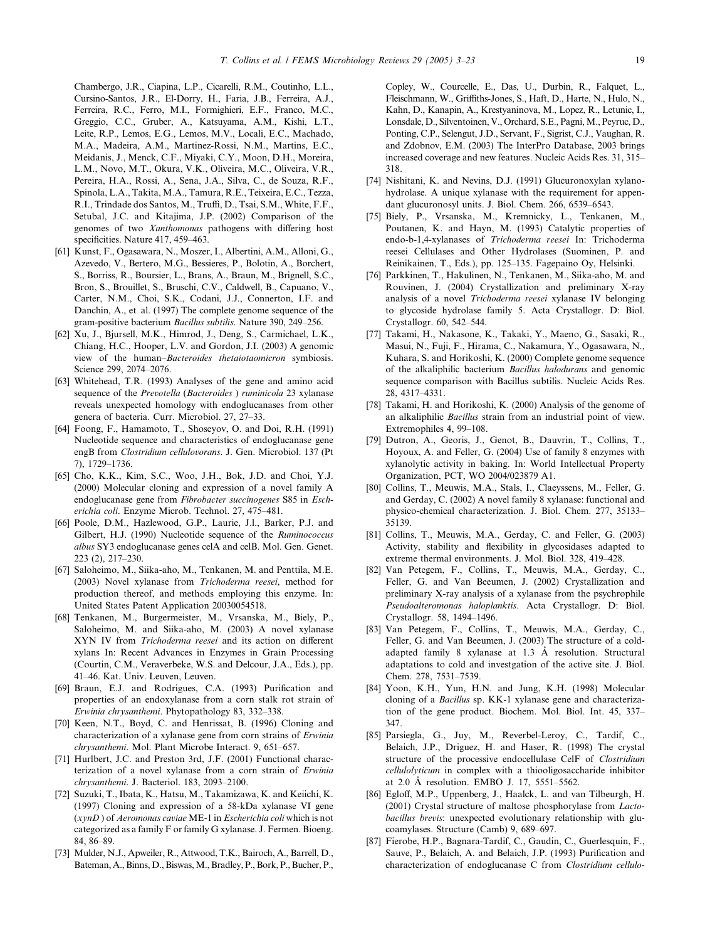<span id="page-16-0"></span>Chambergo, J.R., Ciapina, L.P., Cicarelli, R.M., Coutinho, L.L., Cursino-Santos, J.R., El-Dorry, H., Faria, J.B., Ferreira, A.J., Ferreira, R.C., Ferro, M.I., Formighieri, E.F., Franco, M.C., Greggio, C.C., Gruber, A., Katsuyama, A.M., Kishi, L.T., Leite, R.P., Lemos, E.G., Lemos, M.V., Locali, E.C., Machado, M.A., Madeira, A.M., Martinez-Rossi, N.M., Martins, E.C., Meidanis, J., Menck, C.F., Miyaki, C.Y., Moon, D.H., Moreira, L.M., Novo, M.T., Okura, V.K., Oliveira, M.C., Oliveira, V.R., Pereira, H.A., Rossi, A., Sena, J.A., Silva, C., de Souza, R.F., Spinola, L.A., Takita, M.A., Tamura, R.E., Teixeira, E.C., Tezza, R.I., Trindade dos Santos, M., Truffi, D., Tsai, S.M., White, F.F., Setubal, J.C. and Kitajima, J.P. (2002) Comparison of the genomes of two Xanthomonas pathogens with differing host specificities. Nature 417, 459–463.

- [61] Kunst, F., Ogasawara, N., Moszer, I., Albertini, A.M., Alloni, G., Azevedo, V., Bertero, M.G., Bessieres, P., Bolotin, A., Borchert, S., Borriss, R., Boursier, L., Brans, A., Braun, M., Brignell, S.C., Bron, S., Brouillet, S., Bruschi, C.V., Caldwell, B., Capuano, V., Carter, N.M., Choi, S.K., Codani, J.J., Connerton, I.F. and Danchin, A., et al. (1997) The complete genome sequence of the gram-positive bacterium Bacillus subtilis. Nature 390, 249–256.
- [62] Xu, J., Bjursell, M.K., Himrod, J., Deng, S., Carmichael, L.K., Chiang, H.C., Hooper, L.V. and Gordon, J.I. (2003) A genomic view of the human–Bacteroides thetaiotaomicron symbiosis. Science 299, 2074–2076.
- [63] Whitehead, T.R. (1993) Analyses of the gene and amino acid sequence of the Prevotella (Bacteroides) ruminicola 23 xylanase reveals unexpected homology with endoglucanases from other genera of bacteria. Curr. Microbiol. 27, 27–33.
- [64] Foong, F., Hamamoto, T., Shoseyov, O. and Doi, R.H. (1991) Nucleotide sequence and characteristics of endoglucanase gene engB from Clostridium cellulovorans. J. Gen. Microbiol. 137 (Pt 7), 1729–1736.
- [65] Cho, K.K., Kim, S.C., Woo, J.H., Bok, J.D. and Choi, Y.J. (2000) Molecular cloning and expression of a novel family A endoglucanase gene from Fibrobacter succinogenes S85 in Escherichia coli. Enzyme Microb. Technol. 27, 475–481.
- [66] Poole, D.M., Hazlewood, G.P., Laurie, J.l., Barker, P.J. and Gilbert, H.J. (1990) Nucleotide sequence of the Ruminococcus albus SY3 endoglucanase genes celA and celB. Mol. Gen. Genet. 223 (2), 217–230.
- [67] Saloheimo, M., Siika-aho, M., Tenkanen, M. and Penttila, M.E. (2003) Novel xylanase from Trichoderma reesei, method for production thereof, and methods employing this enzyme. In: United States Patent Application 20030054518.
- [68] Tenkanen, M., Burgermeister, M., Vrsanska, M., Biely, P., Saloheimo, M. and Siika-aho, M. (2003) A novel xylanase XYN IV from Trichoderma reesei and its action on different xylans In: Recent Advances in Enzymes in Grain Processing (Courtin, C.M., Veraverbeke, W.S. and Delcour, J.A., Eds.), pp. 41–46. Kat. Univ. Leuven, Leuven.
- [69] Braun, E.J. and Rodrigues, C.A. (1993) Purification and properties of an endoxylanase from a corn stalk rot strain of Erwinia chrysanthemi. Phytopathology 83, 332–338.
- [70] Keen, N.T., Boyd, C. and Henrissat, B. (1996) Cloning and characterization of a xylanase gene from corn strains of Erwinia chrysanthemi. Mol. Plant Microbe Interact. 9, 651–657.
- [71] Hurlbert, J.C. and Preston 3rd, J.F. (2001) Functional characterization of a novel xylanase from a corn strain of Erwinia chrysanthemi. J. Bacteriol. 183, 2093–2100.
- [72] Suzuki, T., Ibata, K., Hatsu, M., Takamizawa, K. and Keiichi, K. (1997) Cloning and expression of a 58-kDa xylanase VI gene  $(xynD)$  of Aeromonas caviae ME-1 in *Escherichia coli* which is not categorized as a family F or family G xylanase. J. Fermen. Bioeng. 84, 86–89.
- [73] Mulder, N.J., Apweiler, R., Attwood, T.K., Bairoch, A., Barrell, D., Bateman, A., Binns, D., Biswas, M., Bradley, P., Bork, P., Bucher, P.,

Copley, W., Courcelle, E., Das, U., Durbin, R., Falquet, L., Fleischmann, W., Griffiths-Jones, S., Haft, D., Harte, N., Hulo, N., Kahn, D., Kanapin, A., Krestyaninova, M., Lopez, R., Letunic, I., Lonsdale, D., Silventoinen, V., Orchard, S.E., Pagni,M., Peyruc, D., Ponting, C.P., Selengut, J.D., Servant, F., Sigrist, C.J., Vaughan, R. and Zdobnov, E.M. (2003) The InterPro Database, 2003 brings increased coverage and new features. Nucleic Acids Res. 31, 315– 318.

- [74] Nishitani, K. and Nevins, D.J. (1991) Glucuronoxylan xylanohydrolase. A unique xylanase with the requirement for appendant glucuronosyl units. J. Biol. Chem. 266, 6539–6543.
- [75] Biely, P., Vrsanska, M., Kremnicky, L., Tenkanen, M., Poutanen, K. and Hayn, M. (1993) Catalytic properties of endo-b-1,4-xylanases of Trichoderma reesei In: Trichoderma reesei Cellulases and Other Hydrolases (Suominen, P. and Reinikainen, T., Eds.), pp. 125–135. Fagepaino Oy, Helsinki.
- [76] Parkkinen, T., Hakulinen, N., Tenkanen, M., Siika-aho, M. and Rouvinen, J. (2004) Crystallization and preliminary X-ray analysis of a novel Trichoderma reesei xylanase IV belonging to glycoside hydrolase family 5. Acta Crystallogr. D: Biol. Crystallogr. 60, 542–544.
- [77] Takami, H., Nakasone, K., Takaki, Y., Maeno, G., Sasaki, R., Masui, N., Fuji, F., Hirama, C., Nakamura, Y., Ogasawara, N., Kuhara, S. and Horikoshi, K. (2000) Complete genome sequence of the alkaliphilic bacterium Bacillus halodurans and genomic sequence comparison with Bacillus subtilis. Nucleic Acids Res. 28, 4317–4331.
- [78] Takami, H. and Horikoshi, K. (2000) Analysis of the genome of an alkaliphilic Bacillus strain from an industrial point of view. Extremophiles 4, 99–108.
- [79] Dutron, A., Georis, J., Genot, B., Dauvrin, T., Collins, T., Hoyoux, A. and Feller, G. (2004) Use of family 8 enzymes with xylanolytic activity in baking. In: World Intellectual Property Organization, PCT, WO 2004/023879 A1.
- [80] Collins, T., Meuwis, M.A., Stals, I., Claeyssens, M., Feller, G. and Gerday, C. (2002) A novel family 8 xylanase: functional and physico-chemical characterization. J. Biol. Chem. 277, 35133– 35139.
- [81] Collins, T., Meuwis, M.A., Gerday, C. and Feller, G. (2003) Activity, stability and flexibility in glycosidases adapted to extreme thermal environments. J. Mol. Biol. 328, 419–428.
- [82] Van Petegem, F., Collins, T., Meuwis, M.A., Gerday, C., Feller, G. and Van Beeumen, J. (2002) Crystallization and preliminary X-ray analysis of a xylanase from the psychrophile Pseudoalteromonas haloplanktis. Acta Crystallogr. D: Biol. Crystallogr. 58, 1494–1496.
- [83] Van Petegem, F., Collins, T., Meuwis, M.A., Gerday, C., Feller, G. and Van Beeumen, J. (2003) The structure of a coldadapted family 8 xylanase at 1.3 Å resolution. Structural adaptations to cold and investgation of the active site. J. Biol. Chem. 278, 7531–7539.
- [84] Yoon, K.H., Yun, H.N. and Jung, K.H. (1998) Molecular cloning of a Bacillus sp. KK-1 xylanase gene and characterization of the gene product. Biochem. Mol. Biol. Int. 45, 337– 347.
- [85] Parsiegla, G., Juy, M., Reverbel-Leroy, C., Tardif, C., Belaich, J.P., Driguez, H. and Haser, R. (1998) The crystal structure of the processive endocellulase CelF of Clostridium cellulolyticum in complex with a thiooligosaccharide inhibitor at 2.0 Å resolution. EMBO J. 17, 5551–5562.
- [86] Egloff, M.P., Uppenberg, J., Haalck, L. and van Tilbeurgh, H. (2001) Crystal structure of maltose phosphorylase from Lactobacillus brevis: unexpected evolutionary relationship with glucoamylases. Structure (Camb) 9, 689–697.
- [87] Fierobe, H.P., Bagnara-Tardif, C., Gaudin, C., Guerlesquin, F., Sauve, P., Belaich, A. and Belaich, J.P. (1993) Purification and characterization of endoglucanase C from Clostridium cellulo-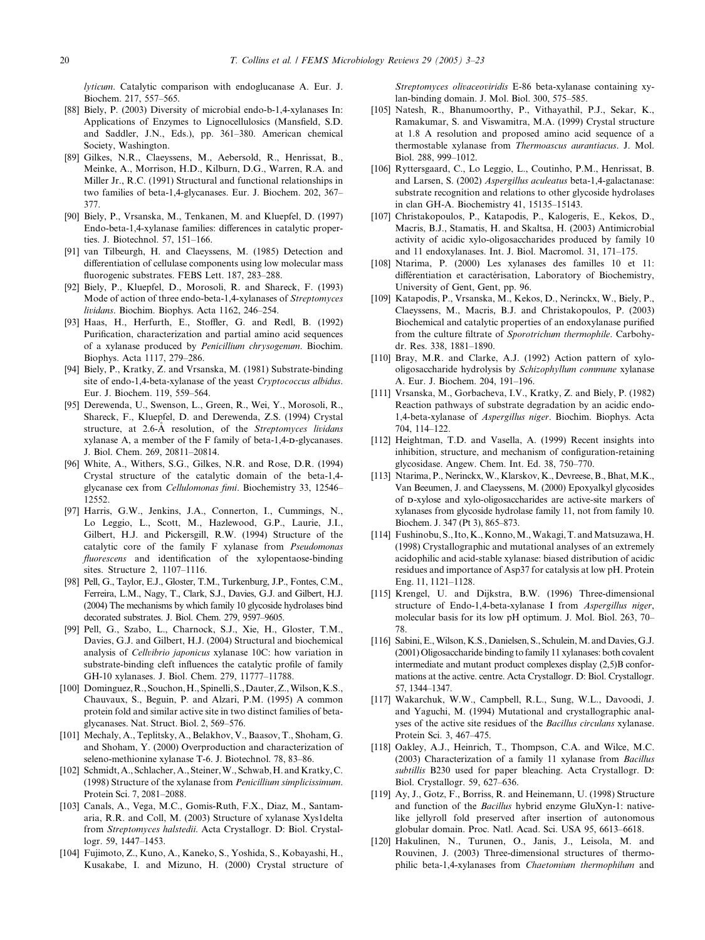<span id="page-17-0"></span>lyticum. Catalytic comparison with endoglucanase A. Eur. J. Biochem. 217, 557–565.

- [88] Biely, P. (2003) Diversity of microbial endo-b-1,4-xylanases In: Applications of Enzymes to Lignocellulosics (Mansfield, S.D. and Saddler, J.N., Eds.), pp. 361–380. American chemical Society, Washington.
- [89] Gilkes, N.R., Claeyssens, M., Aebersold, R., Henrissat, B., Meinke, A., Morrison, H.D., Kilburn, D.G., Warren, R.A. and Miller Jr., R.C. (1991) Structural and functional relationships in two families of beta-1,4-glycanases. Eur. J. Biochem. 202, 367– 377.
- [90] Biely, P., Vrsanska, M., Tenkanen, M. and Kluepfel, D. (1997) Endo-beta-1,4-xylanase families: differences in catalytic properties. J. Biotechnol. 57, 151–166.
- [91] van Tilbeurgh, H. and Claeyssens, M. (1985) Detection and differentiation of cellulase components using low molecular mass fluorogenic substrates. FEBS Lett. 187, 283–288.
- [92] Biely, P., Kluepfel, D., Morosoli, R. and Shareck, F. (1993) Mode of action of three endo-beta-1,4-xylanases of Streptomyces lividans. Biochim. Biophys. Acta 1162, 246–254.
- [93] Haas, H., Herfurth, E., Stoffler, G. and Redl, B. (1992) Purification, characterization and partial amino acid sequences of a xylanase produced by Penicillium chrysogenum. Biochim. Biophys. Acta 1117, 279–286.
- [94] Biely, P., Kratky, Z. and Vrsanska, M. (1981) Substrate-binding site of endo-1,4-beta-xylanase of the yeast Cryptococcus albidus. Eur. J. Biochem. 119, 559–564.
- [95] Derewenda, U., Swenson, L., Green, R., Wei, Y., Morosoli, R., Shareck, F., Kluepfel, D. and Derewenda, Z.S. (1994) Crystal structure, at 2.6-A resolution, of the Streptomyces lividans xylanase A, a member of the F family of beta-1,4-D-glycanases. J. Biol. Chem. 269, 20811–20814.
- [96] White, A., Withers, S.G., Gilkes, N.R. and Rose, D.R. (1994) Crystal structure of the catalytic domain of the beta-1,4 glycanase cex from Cellulomonas fimi. Biochemistry 33, 12546– 12552.
- [97] Harris, G.W., Jenkins, J.A., Connerton, I., Cummings, N., Lo Leggio, L., Scott, M., Hazlewood, G.P., Laurie, J.I., Gilbert, H.J. and Pickersgill, R.W. (1994) Structure of the catalytic core of the family F xylanase from Pseudomonas fluorescens and identification of the xylopentaose-binding sites. Structure 2, 1107–1116.
- [98] Pell, G., Taylor, E.J., Gloster, T.M., Turkenburg, J.P., Fontes, C.M., Ferreira, L.M., Nagy, T., Clark, S.J., Davies, G.J. and Gilbert, H.J. (2004) The mechanisms by which family 10 glycoside hydrolases bind decorated substrates. J. Biol. Chem. 279, 9597–9605.
- [99] Pell, G., Szabo, L., Charnock, S.J., Xie, H., Gloster, T.M., Davies, G.J. and Gilbert, H.J. (2004) Structural and biochemical analysis of Cellvibrio japonicus xylanase 10C: how variation in substrate-binding cleft influences the catalytic profile of family GH-10 xylanases. J. Biol. Chem. 279, 11777–11788.
- [100] Dominguez, R., Souchon, H., Spinelli, S., Dauter, Z., Wilson, K.S., Chauvaux, S., Beguin, P. and Alzari, P.M. (1995) A common protein fold and similar active site in two distinct families of betaglycanases. Nat. Struct. Biol. 2, 569–576.
- [101] Mechaly, A., Teplitsky, A., Belakhov, V., Baasov, T., Shoham, G. and Shoham, Y. (2000) Overproduction and characterization of seleno-methionine xylanase T-6. J. Biotechnol. 78, 83–86.
- [102] Schmidt, A., Schlacher, A., Steiner, W., Schwab, H. and Kratky, C. (1998) Structure of the xylanase from Penicillium simplicissimum. Protein Sci. 7, 2081–2088.
- [103] Canals, A., Vega, M.C., Gomis-Ruth, F.X., Diaz, M., Santamaria, R.R. and Coll, M. (2003) Structure of xylanase Xys1delta from Streptomyces halstedii. Acta Crystallogr. D: Biol. Crystallogr. 59, 1447–1453.
- [104] Fujimoto, Z., Kuno, A., Kaneko, S., Yoshida, S., Kobayashi, H., Kusakabe, I. and Mizuno, H. (2000) Crystal structure of

Streptomyces olivaceoviridis E-86 beta-xylanase containing xylan-binding domain. J. Mol. Biol. 300, 575–585.

- [105] Natesh, R., Bhanumoorthy, P., Vithayathil, P.J., Sekar, K., Ramakumar, S. and Viswamitra, M.A. (1999) Crystal structure at 1.8 A resolution and proposed amino acid sequence of a thermostable xylanase from Thermoascus aurantiacus. J. Mol. Biol. 288, 999–1012.
- [106] Ryttersgaard, C., Lo Leggio, L., Coutinho, P.M., Henrissat, B. and Larsen, S. (2002) Aspergillus aculeatus beta-1,4-galactanase: substrate recognition and relations to other glycoside hydrolases in clan GH-A. Biochemistry 41, 15135–15143.
- [107] Christakopoulos, P., Katapodis, P., Kalogeris, E., Kekos, D., Macris, B.J., Stamatis, H. and Skaltsa, H. (2003) Antimicrobial activity of acidic xylo-oligosaccharides produced by family 10 and 11 endoxylanases. Int. J. Biol. Macromol. 31, 171–175.
- [108] Ntarima, P. (2000) Les xylanases des familles 10 et 11: différentiation et caractérisation, Laboratory of Biochemistry, University of Gent, Gent, pp. 96.
- [109] Katapodis, P., Vrsanska, M., Kekos, D., Nerinckx, W., Biely, P., Claeyssens, M., Macris, B.J. and Christakopoulos, P. (2003) Biochemical and catalytic properties of an endoxylanase purified from the culture filtrate of Sporotrichum thermophile. Carbohydr. Res. 338, 1881–1890.
- [110] Bray, M.R. and Clarke, A.J. (1992) Action pattern of xylooligosaccharide hydrolysis by Schizophyllum commune xylanase A. Eur. J. Biochem. 204, 191–196.
- [111] Vrsanska, M., Gorbacheva, I.V., Kratky, Z. and Biely, P. (1982) Reaction pathways of substrate degradation by an acidic endo-1,4-beta-xylanase of Aspergillus niger. Biochim. Biophys. Acta 704, 114–122.
- [112] Heightman, T.D. and Vasella, A. (1999) Recent insights into inhibition, structure, and mechanism of configuration-retaining glycosidase. Angew. Chem. Int. Ed. 38, 750–770.
- [113] Ntarima, P., Nerinckx,W., Klarskov, K., Devreese, B., Bhat, M.K., Van Beeumen, J. and Claeyssens, M. (2000) Epoxyalkyl glycosides of D-xylose and xylo-oligosaccharides are active-site markers of xylanases from glycoside hydrolase family 11, not from family 10. Biochem. J. 347 (Pt 3), 865–873.
- [114] Fushinobu, S., Ito, K., Konno, M., Wakagi, T. and Matsuzawa, H. (1998) Crystallographic and mutational analyses of an extremely acidophilic and acid-stable xylanase: biased distribution of acidic residues and importance of Asp37 for catalysis at low pH. Protein Eng. 11, 1121–1128.
- [115] Krengel, U. and Dijkstra, B.W. (1996) Three-dimensional structure of Endo-1,4-beta-xylanase I from Aspergillus niger, molecular basis for its low pH optimum. J. Mol. Biol. 263, 70– 78.
- [116] Sabini, E., Wilson, K.S., Danielsen, S., Schulein, M. and Davies, G.J. (2001) Oligosaccharide binding to family 11 xylanases: both covalent intermediate and mutant product complexes display (2,5)B conformations at the active. centre. Acta Crystallogr. D: Biol. Crystallogr. 57, 1344–1347.
- [117] Wakarchuk, W.W., Campbell, R.L., Sung, W.L., Davoodi, J. and Yaguchi, M. (1994) Mutational and crystallographic analyses of the active site residues of the Bacillus circulans xylanase. Protein Sci. 3, 467–475.
- [118] Oakley, A.J., Heinrich, T., Thompson, C.A. and Wilce, M.C. (2003) Characterization of a family 11 xylanase from Bacillus subtillis B230 used for paper bleaching. Acta Crystallogr. D: Biol. Crystallogr. 59, 627–636.
- [119] Ay, J., Gotz, F., Borriss, R. and Heinemann, U. (1998) Structure and function of the Bacillus hybrid enzyme GluXyn-1: nativelike jellyroll fold preserved after insertion of autonomous globular domain. Proc. Natl. Acad. Sci. USA 95, 6613–6618.
- [120] Hakulinen, N., Turunen, O., Janis, J., Leisola, M. and Rouvinen, J. (2003) Three-dimensional structures of thermophilic beta-1,4-xylanases from Chaetomium thermophilum and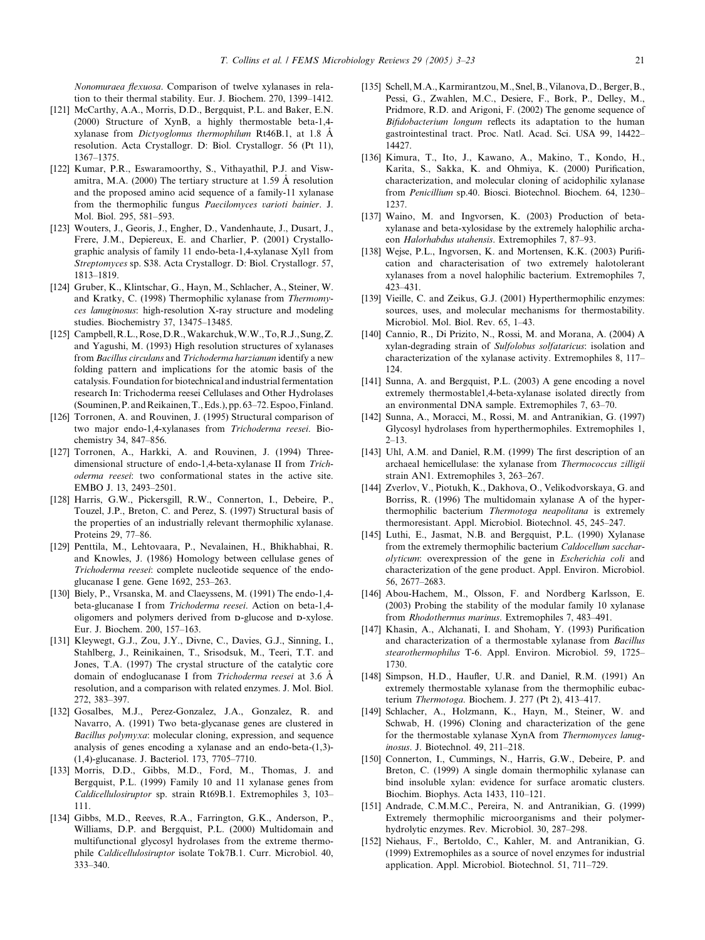<span id="page-18-0"></span>Nonomuraea flexuosa. Comparison of twelve xylanases in relation to their thermal stability. Eur. J. Biochem. 270, 1399–1412.

- [121] McCarthy, A.A., Morris, D.D., Bergquist, P.L. and Baker, E.N. (2000) Structure of XynB, a highly thermostable beta-1,4 xylanase from *Dictyoglomus thermophilum* Rt46B.1, at 1.8  $\AA$ resolution. Acta Crystallogr. D: Biol. Crystallogr. 56 (Pt 11), 1367–1375.
- [122] Kumar, P.R., Eswaramoorthy, S., Vithayathil, P.J. and Viswamitra, M.A. (2000) The tertiary structure at 1.59  $\AA$  resolution and the proposed amino acid sequence of a family-11 xylanase from the thermophilic fungus Paecilomyces varioti bainier. J. Mol. Biol. 295, 581–593.
- [123] Wouters, J., Georis, J., Engher, D., Vandenhaute, J., Dusart, J., Frere, J.M., Depiereux, E. and Charlier, P. (2001) Crystallographic analysis of family 11 endo-beta-1,4-xylanase Xyl1 from Streptomyces sp. S38. Acta Crystallogr. D: Biol. Crystallogr. 57, 1813–1819.
- [124] Gruber, K., Klintschar, G., Hayn, M., Schlacher, A., Steiner, W. and Kratky, C. (1998) Thermophilic xylanase from Thermomyces lanuginosus: high-resolution X-ray structure and modeling studies. Biochemistry 37, 13475–13485.
- [125] Campbell,R.L.,Rose,D.R.,Wakarchuk,W.W.,To,R.J., Sung,Z. and Yagushi, M. (1993) High resolution structures of xylanases from Bacillus circulans and Trichoderma harzianum identify a new folding pattern and implications for the atomic basis of the catalysis. Foundation for biotechnical and industrial fermentation research In: Trichoderma reesei Cellulases and Other Hydrolases (Souminen,P. andReikainen,T.,Eds.), pp. 63–72.Espoo,Finland.
- [126] Torronen, A. and Rouvinen, J. (1995) Structural comparison of two major endo-1,4-xylanases from Trichoderma reesei. Biochemistry 34, 847–856.
- [127] Torronen, A., Harkki, A. and Rouvinen, J. (1994) Threedimensional structure of endo-1,4-beta-xylanase II from Trichoderma reesei: two conformational states in the active site. EMBO J. 13, 2493–2501.
- [128] Harris, G.W., Pickersgill, R.W., Connerton, I., Debeire, P., Touzel, J.P., Breton, C. and Perez, S. (1997) Structural basis of the properties of an industrially relevant thermophilic xylanase. Proteins 29, 77–86.
- [129] Penttila, M., Lehtovaara, P., Nevalainen, H., Bhikhabhai, R. and Knowles, J. (1986) Homology between cellulase genes of Trichoderma reesei: complete nucleotide sequence of the endoglucanase I gene. Gene 1692, 253–263.
- [130] Biely, P., Vrsanska, M. and Claeyssens, M. (1991) The endo-1,4 beta-glucanase I from Trichoderma reesei. Action on beta-1,4 oligomers and polymers derived from D-glucose and D-xylose. Eur. J. Biochem. 200, 157–163.
- [131] Kleywegt, G.J., Zou, J.Y., Divne, C., Davies, G.J., Sinning, I., Stahlberg, J., Reinikainen, T., Srisodsuk, M., Teeri, T.T. and Jones, T.A. (1997) The crystal structure of the catalytic core domain of endoglucanase I from Trichoderma reesei at 3.6 A resolution, and a comparison with related enzymes. J. Mol. Biol. 272, 383–397.
- [132] Gosalbes, M.J., Perez-Gonzalez, J.A., Gonzalez, R. and Navarro, A. (1991) Two beta-glycanase genes are clustered in Bacillus polymyxa: molecular cloning, expression, and sequence analysis of genes encoding a xylanase and an endo-beta-(1,3)- (1,4)-glucanase. J. Bacteriol. 173, 7705–7710.
- [133] Morris, D.D., Gibbs, M.D., Ford, M., Thomas, J. and Bergquist, P.L. (1999) Family 10 and 11 xylanase genes from Caldicellulosiruptor sp. strain Rt69B.1. Extremophiles 3, 103– 111.
- [134] Gibbs, M.D., Reeves, R.A., Farrington, G.K., Anderson, P., Williams, D.P. and Bergquist, P.L. (2000) Multidomain and multifunctional glycosyl hydrolases from the extreme thermophile Caldicellulosiruptor isolate Tok7B.1. Curr. Microbiol. 40, 333–340.
- [135] Schell, M.A., Karmirantzou, M., Snel, B., Vilanova, D., Berger, B., Pessi, G., Zwahlen, M.C., Desiere, F., Bork, P., Delley, M., Pridmore, R.D. and Arigoni, F. (2002) The genome sequence of Bifidobacterium longum reflects its adaptation to the human gastrointestinal tract. Proc. Natl. Acad. Sci. USA 99, 14422– 14427.
- [136] Kimura, T., Ito, J., Kawano, A., Makino, T., Kondo, H., Karita, S., Sakka, K. and Ohmiya, K. (2000) Purification, characterization, and molecular cloning of acidophilic xylanase from Penicillium sp.40. Biosci. Biotechnol. Biochem. 64, 1230– 1237.
- [137] Waino, M. and Ingvorsen, K. (2003) Production of betaxylanase and beta-xylosidase by the extremely halophilic archaeon Halorhabdus utahensis. Extremophiles 7, 87–93.
- [138] Wejse, P.L., Ingvorsen, K. and Mortensen, K.K. (2003) Purification and characterisation of two extremely halotolerant xylanases from a novel halophilic bacterium. Extremophiles 7, 423–431.
- [139] Vieille, C. and Zeikus, G.J. (2001) Hyperthermophilic enzymes: sources, uses, and molecular mechanisms for thermostability. Microbiol. Mol. Biol. Rev. 65, 1–43.
- [140] Cannio, R., Di Prizito, N., Rossi, M. and Morana, A. (2004) A xylan-degrading strain of Sulfolobus solfataricus: isolation and characterization of the xylanase activity. Extremophiles 8, 117– 124.
- [141] Sunna, A. and Bergquist, P.L. (2003) A gene encoding a novel extremely thermostable1,4-beta-xylanase isolated directly from an environmental DNA sample. Extremophiles 7, 63–70.
- [142] Sunna, A., Moracci, M., Rossi, M. and Antranikian, G. (1997) Glycosyl hydrolases from hyperthermophiles. Extremophiles 1,  $2 - 13$ .
- [143] Uhl, A.M. and Daniel, R.M. (1999) The first description of an archaeal hemicellulase: the xylanase from Thermococcus zilligii strain AN1. Extremophiles 3, 263–267.
- [144] Zverlov, V., Piotukh, K., Dakhova, O., Velikodvorskaya, G. and Borriss, R. (1996) The multidomain xylanase A of the hyperthermophilic bacterium Thermotoga neapolitana is extremely thermoresistant. Appl. Microbiol. Biotechnol. 45, 245–247.
- [145] Luthi, E., Jasmat, N.B. and Bergquist, P.L. (1990) Xylanase from the extremely thermophilic bacterium Caldocellum saccharolyticum: overexpression of the gene in Escherichia coli and characterization of the gene product. Appl. Environ. Microbiol. 56, 2677–2683.
- [146] Abou-Hachem, M., Olsson, F. and Nordberg Karlsson, E. (2003) Probing the stability of the modular family 10 xylanase from Rhodothermus marinus. Extremophiles 7, 483–491.
- [147] Khasin, A., Alchanati, I. and Shoham, Y. (1993) Purification and characterization of a thermostable xylanase from Bacillus stearothermophilus T-6. Appl. Environ. Microbiol. 59, 1725– 1730.
- [148] Simpson, H.D., Haufler, U.R. and Daniel, R.M. (1991) An extremely thermostable xylanase from the thermophilic eubacterium Thermotoga. Biochem. J. 277 (Pt 2), 413–417.
- [149] Schlacher, A., Holzmann, K., Hayn, M., Steiner, W. and Schwab, H. (1996) Cloning and characterization of the gene for the thermostable xylanase XynA from Thermomyces lanuginosus. J. Biotechnol. 49, 211–218.
- [150] Connerton, I., Cummings, N., Harris, G.W., Debeire, P. and Breton, C. (1999) A single domain thermophilic xylanase can bind insoluble xylan: evidence for surface aromatic clusters. Biochim. Biophys. Acta 1433, 110–121.
- [151] Andrade, C.M.M.C., Pereira, N. and Antranikian, G. (1999) Extremely thermophilic microorganisms and their polymerhydrolytic enzymes. Rev. Microbiol. 30, 287–298.
- [152] Niehaus, F., Bertoldo, C., Kahler, M. and Antranikian, G. (1999) Extremophiles as a source of novel enzymes for industrial application. Appl. Microbiol. Biotechnol. 51, 711–729.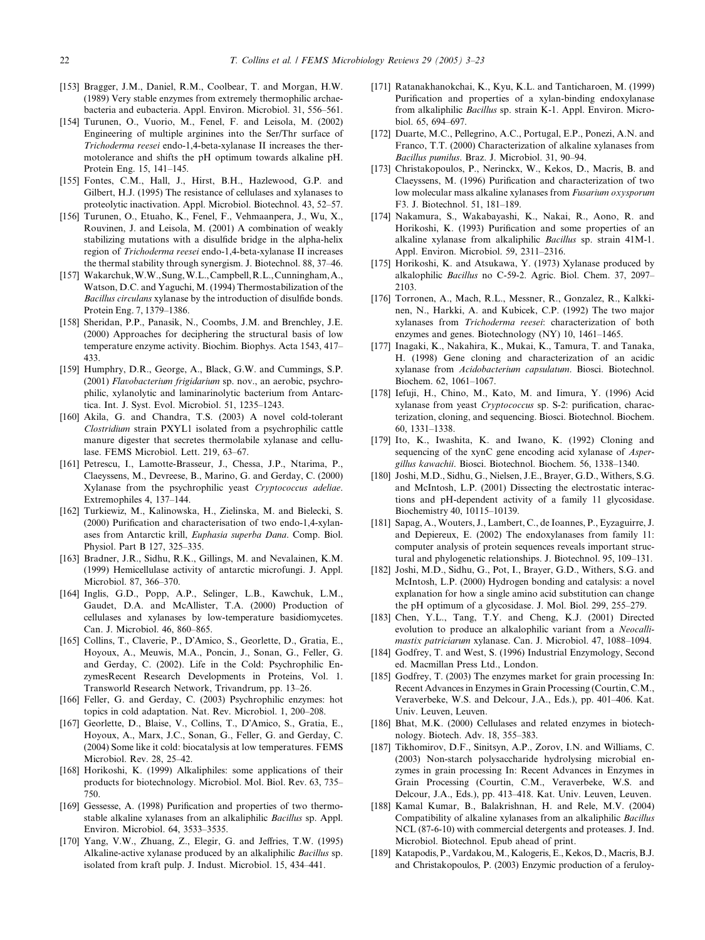- <span id="page-19-0"></span>[153] Bragger, J.M., Daniel, R.M., Coolbear, T. and Morgan, H.W. (1989) Very stable enzymes from extremely thermophilic archaebacteria and eubacteria. Appl. Environ. Microbiol. 31, 556–561.
- [154] Turunen, O., Vuorio, M., Fenel, F. and Leisola, M. (2002) Engineering of multiple arginines into the Ser/Thr surface of Trichoderma reesei endo-1,4-beta-xylanase II increases the thermotolerance and shifts the pH optimum towards alkaline pH. Protein Eng. 15, 141–145.
- [155] Fontes, C.M., Hall, J., Hirst, B.H., Hazlewood, G.P. and Gilbert, H.J. (1995) The resistance of cellulases and xylanases to proteolytic inactivation. Appl. Microbiol. Biotechnol. 43, 52–57.
- [156] Turunen, O., Etuaho, K., Fenel, F., Vehmaanpera, J., Wu, X., Rouvinen, J. and Leisola, M. (2001) A combination of weakly stabilizing mutations with a disulfide bridge in the alpha-helix region of Trichoderma reesei endo-1,4-beta-xylanase II increases the thermal stability through synergism. J. Biotechnol. 88, 37–46.
- [157] Wakarchuk,W.W.,Sung,W.L.,Campbell,R.L.,Cunningham,A., Watson, D.C. and Yaguchi, M. (1994) Thermostabilization of the Bacillus circulans xylanase by the introduction of disulfide bonds. Protein Eng. 7, 1379–1386.
- [158] Sheridan, P.P., Panasik, N., Coombs, J.M. and Brenchley, J.E. (2000) Approaches for deciphering the structural basis of low temperature enzyme activity. Biochim. Biophys. Acta 1543, 417– 433.
- [159] Humphry, D.R., George, A., Black, G.W. and Cummings, S.P. (2001) Flavobacterium frigidarium sp. nov., an aerobic, psychrophilic, xylanolytic and laminarinolytic bacterium from Antarctica. Int. J. Syst. Evol. Microbiol. 51, 1235–1243.
- [160] Akila, G. and Chandra, T.S. (2003) A novel cold-tolerant Clostridium strain PXYL1 isolated from a psychrophilic cattle manure digester that secretes thermolabile xylanase and cellulase. FEMS Microbiol. Lett. 219, 63–67.
- [161] Petrescu, I., Lamotte-Brasseur, J., Chessa, J.P., Ntarima, P., Claeyssens, M., Devreese, B., Marino, G. and Gerday, C. (2000) Xylanase from the psychrophilic yeast Cryptococcus adeliae. Extremophiles 4, 137–144.
- [162] Turkiewiz, M., Kalinowska, H., Zielinska, M. and Bielecki, S. (2000) Purification and characterisation of two endo-1,4-xylanases from Antarctic krill, Euphasia superba Dana. Comp. Biol. Physiol. Part B 127, 325–335.
- [163] Bradner, J.R., Sidhu, R.K., Gillings, M. and Nevalainen, K.M. (1999) Hemicellulase activity of antarctic microfungi. J. Appl. Microbiol. 87, 366–370.
- [164] Inglis, G.D., Popp, A.P., Selinger, L.B., Kawchuk, L.M., Gaudet, D.A. and McAllister, T.A. (2000) Production of cellulases and xylanases by low-temperature basidiomycetes. Can. J. Microbiol. 46, 860–865.
- [165] Collins, T., Claverie, P., D'Amico, S., Georlette, D., Gratia, E., Hoyoux, A., Meuwis, M.A., Poncin, J., Sonan, G., Feller, G. and Gerday, C. (2002). Life in the Cold: Psychrophilic EnzymesRecent Research Developments in Proteins, Vol. 1. Transworld Research Network, Trivandrum, pp. 13–26.
- [166] Feller, G. and Gerday, C. (2003) Psychrophilic enzymes: hot topics in cold adaptation. Nat. Rev. Microbiol. 1, 200–208.
- [167] Georlette, D., Blaise, V., Collins, T., D'Amico, S., Gratia, E., Hoyoux, A., Marx, J.C., Sonan, G., Feller, G. and Gerday, C. (2004) Some like it cold: biocatalysis at low temperatures. FEMS Microbiol. Rev. 28, 25–42.
- [168] Horikoshi, K. (1999) Alkaliphiles: some applications of their products for biotechnology. Microbiol. Mol. Biol. Rev. 63, 735– 750.
- [169] Gessesse, A. (1998) Purification and properties of two thermostable alkaline xylanases from an alkaliphilic Bacillus sp. Appl. Environ. Microbiol. 64, 3533–3535.
- [170] Yang, V.W., Zhuang, Z., Elegir, G. and Jeffries, T.W. (1995) Alkaline-active xylanase produced by an alkaliphilic Bacillus sp. isolated from kraft pulp. J. Indust. Microbiol. 15, 434–441.
- [171] Ratanakhanokchai, K., Kyu, K.L. and Tanticharoen, M. (1999) Purification and properties of a xylan-binding endoxylanase from alkaliphilic Bacillus sp. strain K-1. Appl. Environ. Microbiol. 65, 694–697.
- [172] Duarte, M.C., Pellegrino, A.C., Portugal, E.P., Ponezi, A.N. and Franco, T.T. (2000) Characterization of alkaline xylanases from Bacillus pumilus. Braz. J. Microbiol. 31, 90–94.
- [173] Christakopoulos, P., Nerinckx, W., Kekos, D., Macris, B. and Claeyssens, M. (1996) Purification and characterization of two low molecular mass alkaline xylanases from Fusarium oxysporum F3. J. Biotechnol. 51, 181–189.
- [174] Nakamura, S., Wakabayashi, K., Nakai, R., Aono, R. and Horikoshi, K. (1993) Purification and some properties of an alkaline xylanase from alkaliphilic Bacillus sp. strain 41M-1. Appl. Environ. Microbiol. 59, 2311–2316.
- [175] Horikoshi, K. and Atsukawa, Y. (1973) Xylanase produced by alkalophilic Bacillus no C-59-2. Agric. Biol. Chem. 37, 2097– 2103.
- [176] Torronen, A., Mach, R.L., Messner, R., Gonzalez, R., Kalkkinen, N., Harkki, A. and Kubicek, C.P. (1992) The two major xylanases from Trichoderma reesei: characterization of both enzymes and genes. Biotechnology (NY) 10, 1461–1465.
- [177] Inagaki, K., Nakahira, K., Mukai, K., Tamura, T. and Tanaka, H. (1998) Gene cloning and characterization of an acidic xylanase from Acidobacterium capsulatum. Biosci. Biotechnol. Biochem. 62, 1061–1067.
- [178] Iefuji, H., Chino, M., Kato, M. and Iimura, Y. (1996) Acid xylanase from yeast Cryptococcus sp. S-2: purification, characterization, cloning, and sequencing. Biosci. Biotechnol. Biochem. 60, 1331–1338.
- [179] Ito, K., Iwashita, K. and Iwano, K. (1992) Cloning and sequencing of the xynC gene encoding acid xylanase of Aspergillus kawachii. Biosci. Biotechnol. Biochem. 56, 1338–1340.
- [180] Joshi, M.D., Sidhu, G., Nielsen, J.E., Brayer, G.D., Withers, S.G. and McIntosh, L.P. (2001) Dissecting the electrostatic interactions and pH-dependent activity of a family 11 glycosidase. Biochemistry 40, 10115–10139.
- [181] Sapag, A., Wouters, J., Lambert, C., de Ioannes, P., Eyzaguirre, J. and Depiereux, E. (2002) The endoxylanases from family 11: computer analysis of protein sequences reveals important structural and phylogenetic relationships. J. Biotechnol. 95, 109–131.
- [182] Joshi, M.D., Sidhu, G., Pot, I., Brayer, G.D., Withers, S.G. and McIntosh, L.P. (2000) Hydrogen bonding and catalysis: a novel explanation for how a single amino acid substitution can change the pH optimum of a glycosidase. J. Mol. Biol. 299, 255–279.
- [183] Chen, Y.L., Tang, T.Y. and Cheng, K.J. (2001) Directed evolution to produce an alkalophilic variant from a Neocallimastix patriciarum xylanase. Can. J. Microbiol. 47, 1088–1094.
- [184] Godfrey, T. and West, S. (1996) Industrial Enzymology, Second ed. Macmillan Press Ltd., London.
- [185] Godfrey, T. (2003) The enzymes market for grain processing In: Recent Advances in Enzymes in Grain Processing (Courtin, C.M., Veraverbeke, W.S. and Delcour, J.A., Eds.), pp. 401–406. Kat. Univ. Leuven, Leuven.
- [186] Bhat, M.K. (2000) Cellulases and related enzymes in biotechnology. Biotech. Adv. 18, 355–383.
- [187] Tikhomirov, D.F., Sinitsyn, A.P., Zorov, I.N. and Williams, C. (2003) Non-starch polysaccharide hydrolysing microbial enzymes in grain processing In: Recent Advances in Enzymes in Grain Processing (Courtin, C.M., Veraverbeke, W.S. and Delcour, J.A., Eds.), pp. 413–418. Kat. Univ. Leuven, Leuven.
- [188] Kamal Kumar, B., Balakrishnan, H. and Rele, M.V. (2004) Compatibility of alkaline xylanases from an alkaliphilic Bacillus NCL (87-6-10) with commercial detergents and proteases. J. Ind. Microbiol. Biotechnol. Epub ahead of print.
- [189] Katapodis, P., Vardakou,M., Kalogeris, E., Kekos, D.,Macris, B.J. and Christakopoulos, P. (2003) Enzymic production of a feruloy-